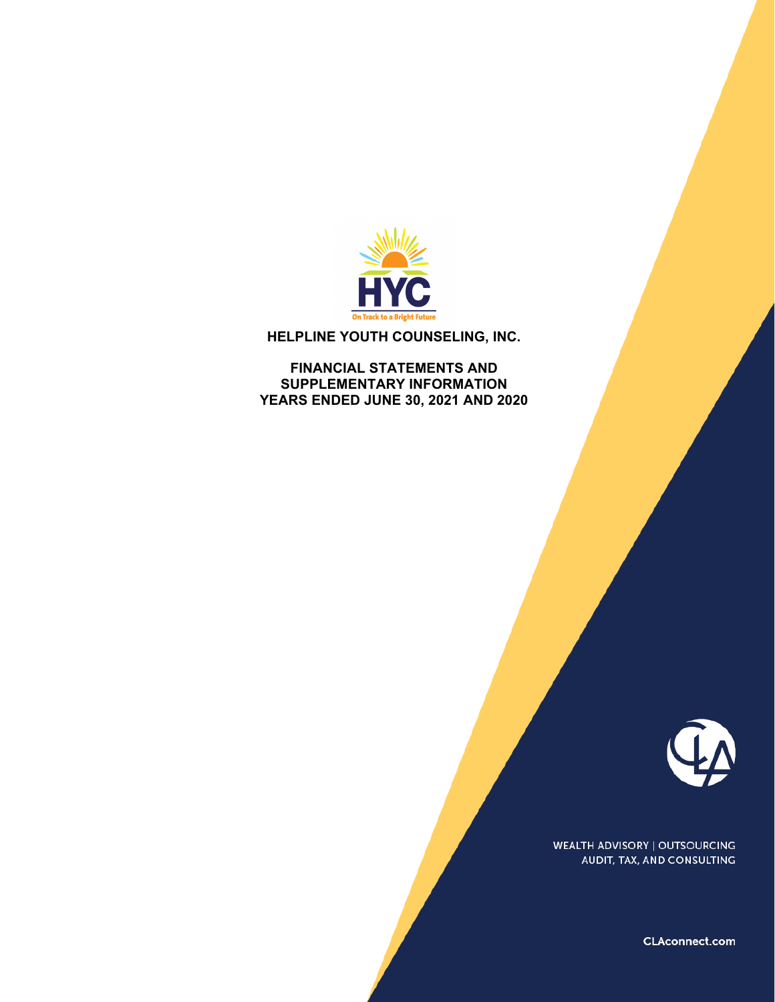

**HELPLINE YOUTH COUNSELING, INC.** 

**FINANCIAL STATEMENTS AND SUPPLEMENTARY INFORMATION YEARS ENDED JUNE 30, 2021 AND 2020** 



WEALTH ADVISORY | OUTSOURCING AUDIT, TAX, AND CONSULTING

CLAconnect.com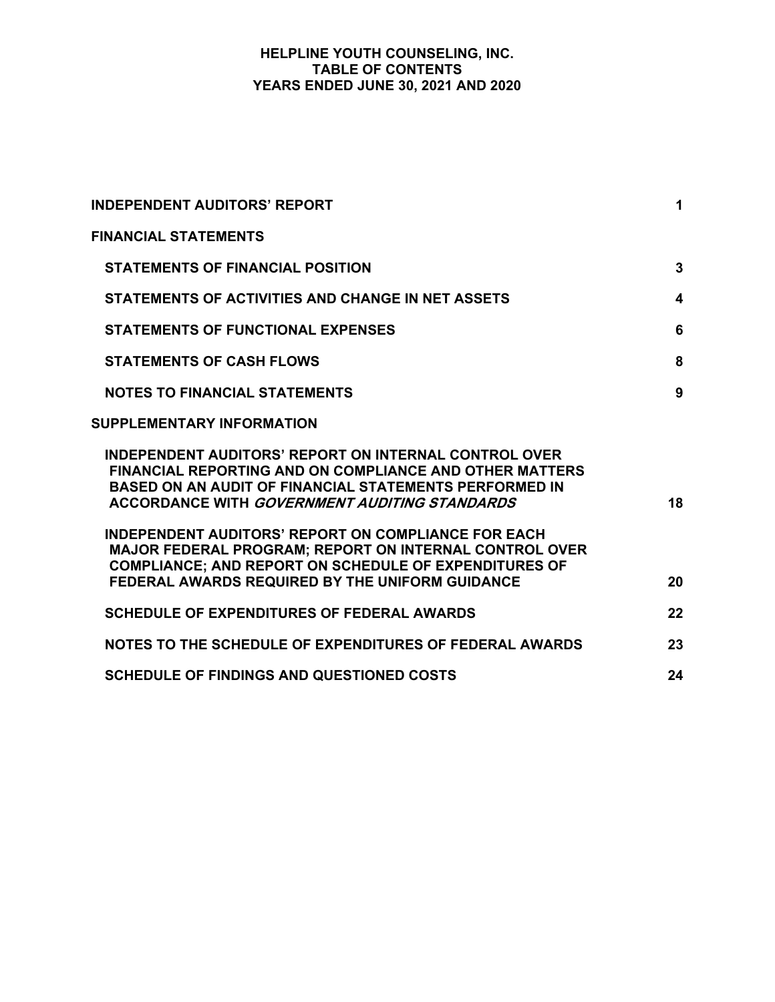### **HELPLINE YOUTH COUNSELING, INC. TABLE OF CONTENTS YEARS ENDED JUNE 30, 2021 AND 2020**

| <b>INDEPENDENT AUDITORS' REPORT</b>                                                                                                                                                                                                                     | 1            |
|---------------------------------------------------------------------------------------------------------------------------------------------------------------------------------------------------------------------------------------------------------|--------------|
| <b>FINANCIAL STATEMENTS</b>                                                                                                                                                                                                                             |              |
| <b>STATEMENTS OF FINANCIAL POSITION</b>                                                                                                                                                                                                                 | $\mathbf{3}$ |
| STATEMENTS OF ACTIVITIES AND CHANGE IN NET ASSETS                                                                                                                                                                                                       | 4            |
| <b>STATEMENTS OF FUNCTIONAL EXPENSES</b>                                                                                                                                                                                                                | 6            |
| <b>STATEMENTS OF CASH FLOWS</b>                                                                                                                                                                                                                         | 8            |
| <b>NOTES TO FINANCIAL STATEMENTS</b>                                                                                                                                                                                                                    | 9            |
| <b>SUPPLEMENTARY INFORMATION</b>                                                                                                                                                                                                                        |              |
| <b>INDEPENDENT AUDITORS' REPORT ON INTERNAL CONTROL OVER</b><br><b>FINANCIAL REPORTING AND ON COMPLIANCE AND OTHER MATTERS</b><br><b>BASED ON AN AUDIT OF FINANCIAL STATEMENTS PERFORMED IN</b><br><b>ACCORDANCE WITH GOVERNMENT AUDITING STANDARDS</b> | 18           |
| <b>INDEPENDENT AUDITORS' REPORT ON COMPLIANCE FOR EACH</b><br><b>MAJOR FEDERAL PROGRAM; REPORT ON INTERNAL CONTROL OVER</b><br><b>COMPLIANCE; AND REPORT ON SCHEDULE OF EXPENDITURES OF</b><br>FEDERAL AWARDS REQUIRED BY THE UNIFORM GUIDANCE          | 20           |
| <b>SCHEDULE OF EXPENDITURES OF FEDERAL AWARDS</b>                                                                                                                                                                                                       | 22           |
| NOTES TO THE SCHEDULE OF EXPENDITURES OF FEDERAL AWARDS                                                                                                                                                                                                 | 23           |
| <b>SCHEDULE OF FINDINGS AND QUESTIONED COSTS</b>                                                                                                                                                                                                        | 24           |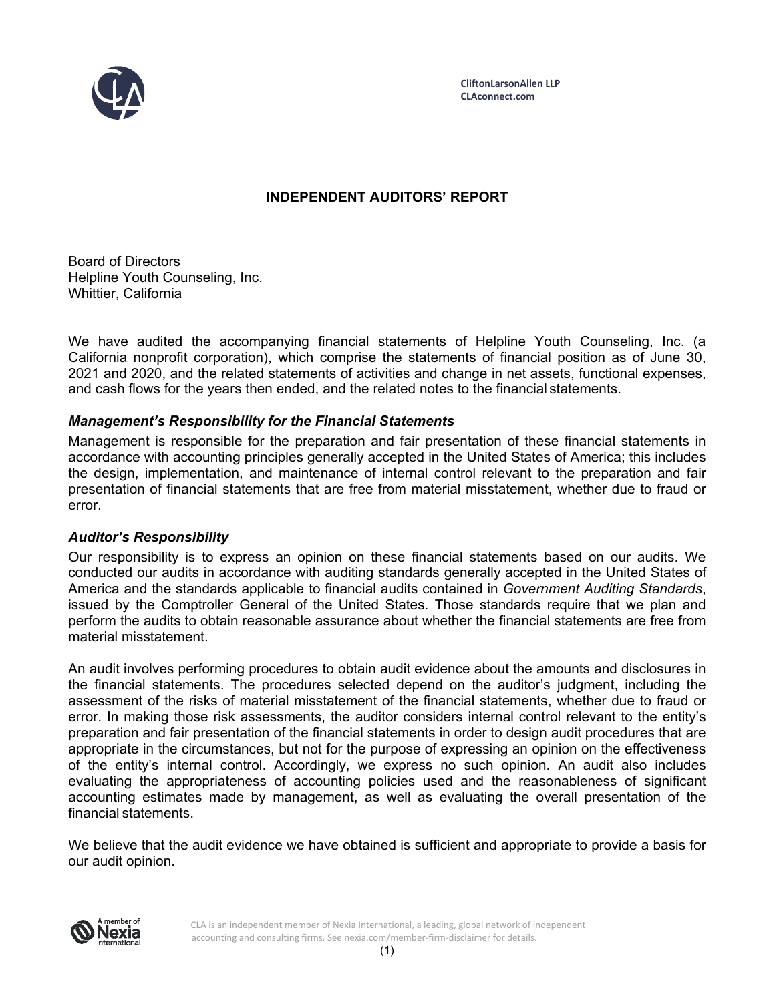

**CliftonLarsonAllen LLP CLAconnect.com**

# **INDEPENDENT AUDITORS' REPORT**

Board of Directors Helpline Youth Counseling, Inc. Whittier, California

We have audited the accompanying financial statements of Helpline Youth Counseling, Inc. (a California nonprofit corporation), which comprise the statements of financial position as of June 30, 2021 and 2020, and the related statements of activities and change in net assets, functional expenses, and cash flows for the years then ended, and the related notes to the financial statements.

# *Management's Responsibility for the Financial Statements*

Management is responsible for the preparation and fair presentation of these financial statements in accordance with accounting principles generally accepted in the United States of America; this includes the design, implementation, and maintenance of internal control relevant to the preparation and fair presentation of financial statements that are free from material misstatement, whether due to fraud or error.

## *Auditor's Responsibility*

Our responsibility is to express an opinion on these financial statements based on our audits. We conducted our audits in accordance with auditing standards generally accepted in the United States of America and the standards applicable to financial audits contained in *Government Auditing Standards*, issued by the Comptroller General of the United States. Those standards require that we plan and perform the audits to obtain reasonable assurance about whether the financial statements are free from material misstatement.

An audit involves performing procedures to obtain audit evidence about the amounts and disclosures in the financial statements. The procedures selected depend on the auditor's judgment, including the assessment of the risks of material misstatement of the financial statements, whether due to fraud or error. In making those risk assessments, the auditor considers internal control relevant to the entity's preparation and fair presentation of the financial statements in order to design audit procedures that are appropriate in the circumstances, but not for the purpose of expressing an opinion on the effectiveness of the entity's internal control. Accordingly, we express no such opinion. An audit also includes evaluating the appropriateness of accounting policies used and the reasonableness of significant accounting estimates made by management, as well as evaluating the overall presentation of the financial statements.

We believe that the audit evidence we have obtained is sufficient and appropriate to provide a basis for our audit opinion.



CLA is an independent member of Nexia International, a leading, global network of independent accounting and consulting firms. See nexia.com/member‐firm‐disclaimer for details.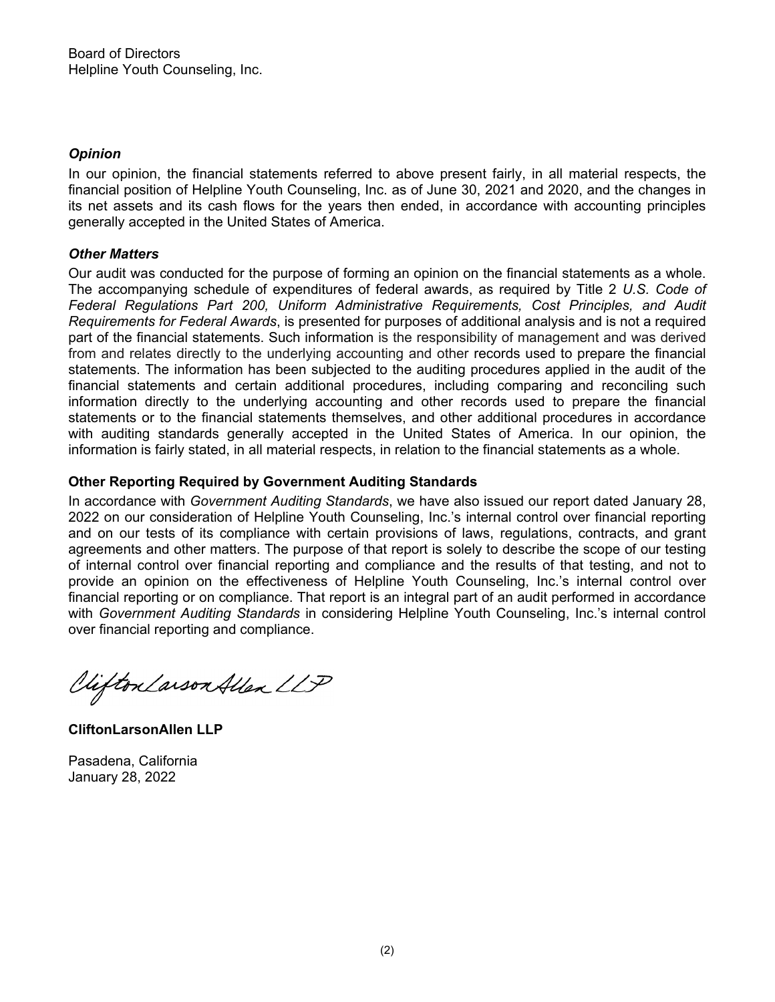## *Opinion*

In our opinion, the financial statements referred to above present fairly, in all material respects, the financial position of Helpline Youth Counseling, Inc. as of June 30, 2021 and 2020, and the changes in its net assets and its cash flows for the years then ended, in accordance with accounting principles generally accepted in the United States of America.

## *Other Matters*

Our audit was conducted for the purpose of forming an opinion on the financial statements as a whole. The accompanying schedule of expenditures of federal awards, as required by Title 2 *U.S. Code of Federal Regulations Part 200, Uniform Administrative Requirements, Cost Principles, and Audit Requirements for Federal Awards*, is presented for purposes of additional analysis and is not a required part of the financial statements. Such information is the responsibility of management and was derived from and relates directly to the underlying accounting and other records used to prepare the financial statements. The information has been subjected to the auditing procedures applied in the audit of the financial statements and certain additional procedures, including comparing and reconciling such information directly to the underlying accounting and other records used to prepare the financial statements or to the financial statements themselves, and other additional procedures in accordance with auditing standards generally accepted in the United States of America. In our opinion, the information is fairly stated, in all material respects, in relation to the financial statements as a whole.

# **Other Reporting Required by Government Auditing Standards**

In accordance with *Government Auditing Standards*, we have also issued our report dated January 28, 2022 on our consideration of Helpline Youth Counseling, Inc.'s internal control over financial reporting and on our tests of its compliance with certain provisions of laws, regulations, contracts, and grant agreements and other matters. The purpose of that report is solely to describe the scope of our testing of internal control over financial reporting and compliance and the results of that testing, and not to provide an opinion on the effectiveness of Helpline Youth Counseling, Inc.'s internal control over financial reporting or on compliance. That report is an integral part of an audit performed in accordance with *Government Auditing Standards* in considering Helpline Youth Counseling, Inc.'s internal control over financial reporting and compliance.

Viifton Larson Allen LLP

**CliftonLarsonAllen LLP** 

Pasadena, California January 28, 2022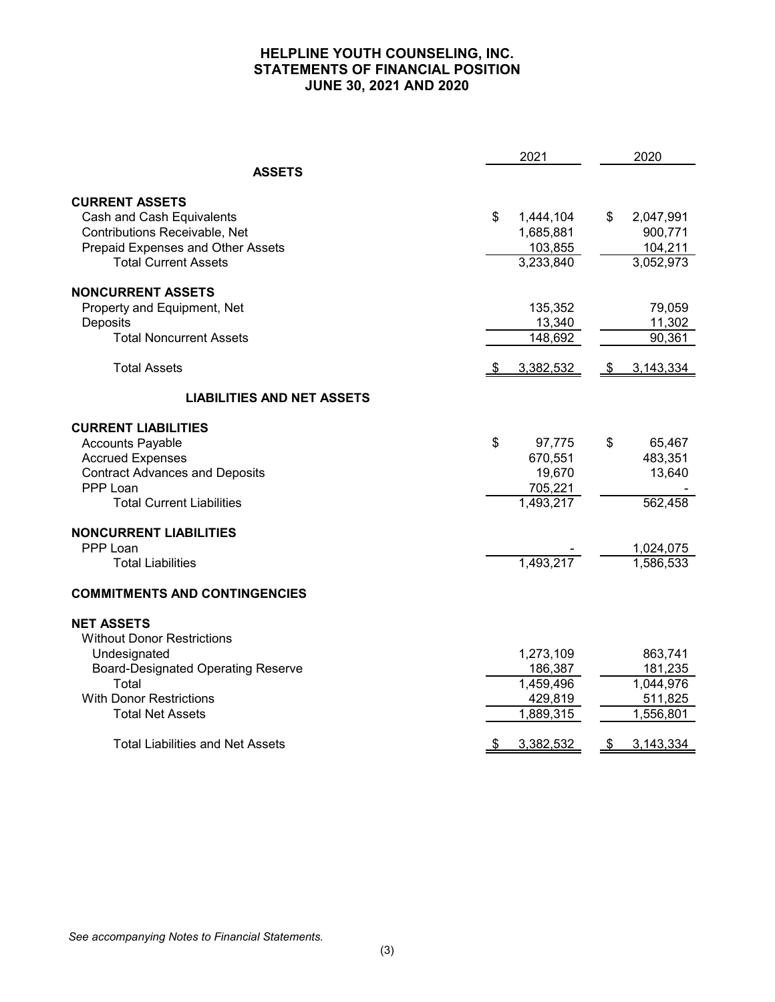## **HELPLINE YOUTH COUNSELING, INC. STATEMENTS OF FINANCIAL POSITION JUNE 30, 2021 AND 2020**

|                                           | 2021              | 2020            |
|-------------------------------------------|-------------------|-----------------|
| <b>ASSETS</b>                             |                   |                 |
| <b>CURRENT ASSETS</b>                     |                   |                 |
| Cash and Cash Equivalents                 | \$<br>1,444,104   | \$<br>2,047,991 |
| Contributions Receivable, Net             | 1,685,881         | 900,771         |
| Prepaid Expenses and Other Assets         | 103,855           | 104,211         |
| <b>Total Current Assets</b>               | 3,233,840         | 3,052,973       |
| <b>NONCURRENT ASSETS</b>                  |                   |                 |
| Property and Equipment, Net               | 135,352           | 79,059          |
| Deposits                                  | 13,340            | 11,302          |
| <b>Total Noncurrent Assets</b>            | 148,692           | 90,361          |
| <b>Total Assets</b>                       | 3,382,532<br>- \$ | \$<br>3,143,334 |
| <b>LIABILITIES AND NET ASSETS</b>         |                   |                 |
| <b>CURRENT LIABILITIES</b>                |                   |                 |
| <b>Accounts Payable</b>                   | \$<br>97,775      | \$<br>65,467    |
| <b>Accrued Expenses</b>                   | 670,551           | 483,351         |
| <b>Contract Advances and Deposits</b>     | 19,670            | 13,640          |
| PPP Loan                                  | 705,221           |                 |
| <b>Total Current Liabilities</b>          | 1,493,217         | 562,458         |
| <b>NONCURRENT LIABILITIES</b>             |                   |                 |
| PPP Loan                                  |                   | 1,024,075       |
| <b>Total Liabilities</b>                  | 1,493,217         | 1,586,533       |
| <b>COMMITMENTS AND CONTINGENCIES</b>      |                   |                 |
| <b>NET ASSETS</b>                         |                   |                 |
| <b>Without Donor Restrictions</b>         |                   |                 |
| Undesignated                              | 1,273,109         | 863,741         |
| <b>Board-Designated Operating Reserve</b> | 186,387           | 181,235         |
| Total                                     | 1,459,496         | 1,044,976       |
| <b>With Donor Restrictions</b>            | 429,819           | 511,825         |
| <b>Total Net Assets</b>                   | 1,889,315         | 1,556,801       |
| <b>Total Liabilities and Net Assets</b>   | 3,382,532<br>-5   | \$<br>3,143,334 |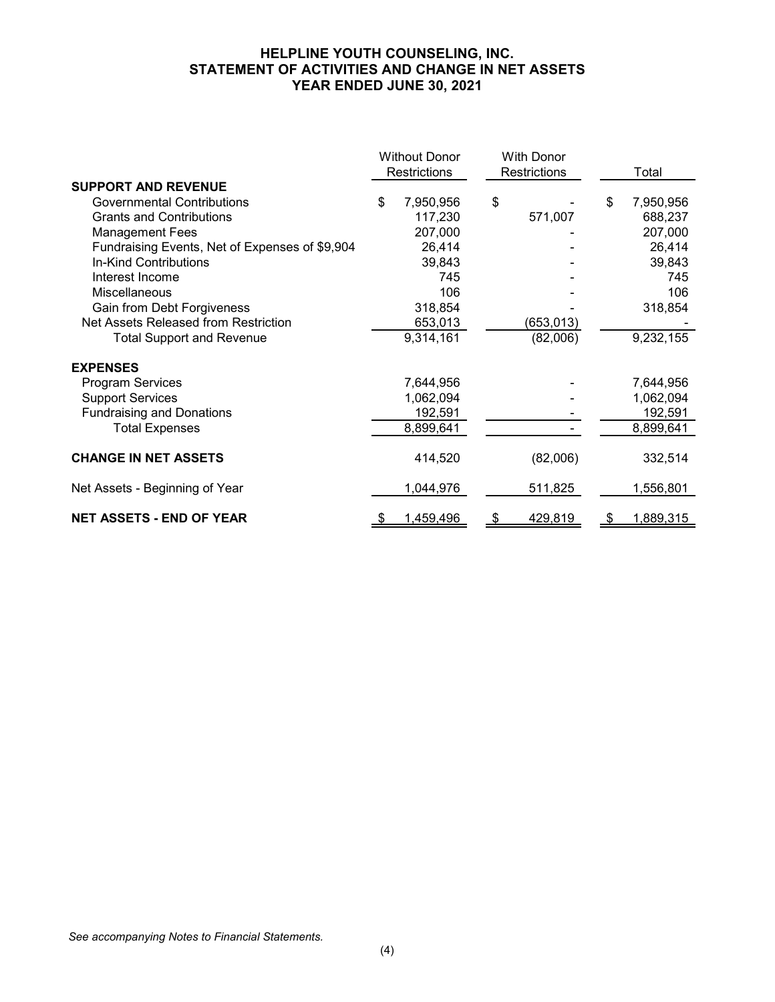## **HELPLINE YOUTH COUNSELING, INC. STATEMENT OF ACTIVITIES AND CHANGE IN NET ASSETS YEAR ENDED JUNE 30, 2021**

|                                                | <b>Without Donor</b><br><b>With Donor</b><br><b>Restrictions</b><br><b>Restrictions</b> |    |            |    |           |  |
|------------------------------------------------|-----------------------------------------------------------------------------------------|----|------------|----|-----------|--|
| <b>SUPPORT AND REVENUE</b>                     |                                                                                         |    |            |    | Total     |  |
| <b>Governmental Contributions</b>              | \$<br>7,950,956                                                                         | \$ |            | \$ | 7,950,956 |  |
| <b>Grants and Contributions</b>                | 117,230                                                                                 |    | 571,007    |    | 688,237   |  |
| <b>Management Fees</b>                         | 207,000                                                                                 |    |            |    | 207,000   |  |
| Fundraising Events, Net of Expenses of \$9,904 | 26,414                                                                                  |    |            |    | 26,414    |  |
| In-Kind Contributions                          |                                                                                         |    |            |    |           |  |
|                                                | 39,843                                                                                  |    |            |    | 39,843    |  |
| Interest Income                                | 745                                                                                     |    |            |    | 745       |  |
| Miscellaneous                                  | 106                                                                                     |    |            |    | 106       |  |
| <b>Gain from Debt Forgiveness</b>              | 318,854                                                                                 |    |            |    | 318,854   |  |
| Net Assets Released from Restriction           | 653,013                                                                                 |    | (653, 013) |    |           |  |
| <b>Total Support and Revenue</b>               | 9,314,161                                                                               |    | (82,006)   |    | 9,232,155 |  |
| <b>EXPENSES</b>                                |                                                                                         |    |            |    |           |  |
| <b>Program Services</b>                        | 7,644,956                                                                               |    |            |    | 7,644,956 |  |
| <b>Support Services</b>                        | 1,062,094                                                                               |    |            |    | 1,062,094 |  |
| <b>Fundraising and Donations</b>               | 192,591                                                                                 |    |            |    | 192,591   |  |
| <b>Total Expenses</b>                          | 8,899,641                                                                               |    |            |    | 8,899,641 |  |
| <b>CHANGE IN NET ASSETS</b>                    | 414,520                                                                                 |    | (82,006)   |    | 332,514   |  |
| Net Assets - Beginning of Year                 | 1,044,976                                                                               |    | 511,825    |    | 1,556,801 |  |
| <b>NET ASSETS - END OF YEAR</b>                | 1,459,496                                                                               | \$ | 429,819    | \$ | 1,889,315 |  |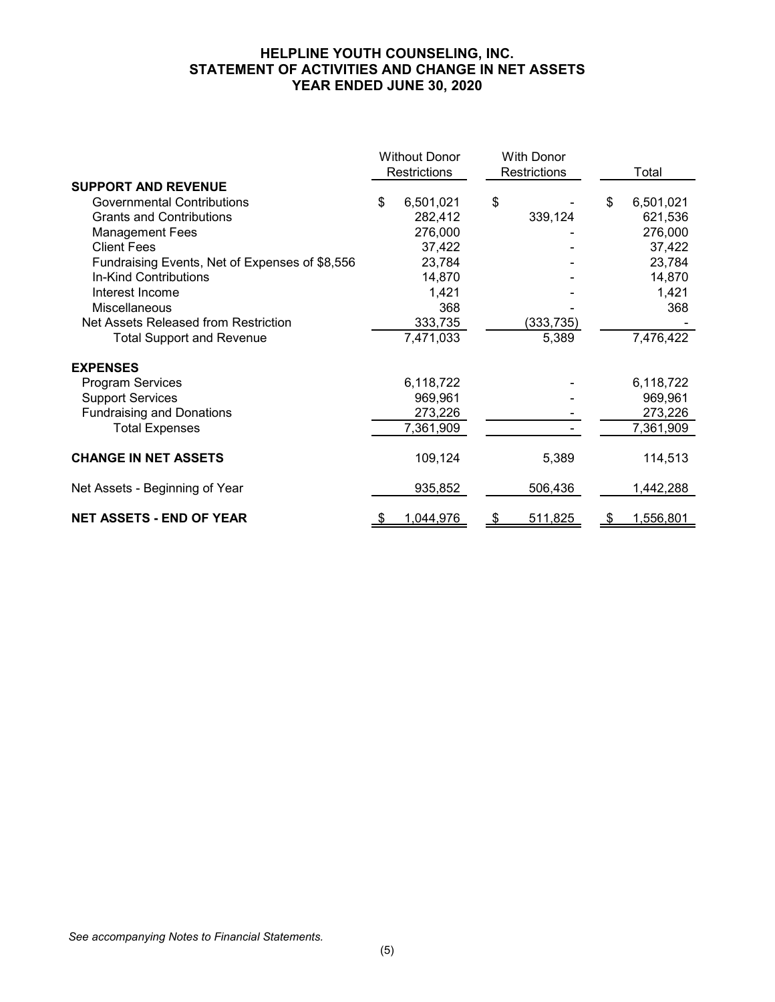## **HELPLINE YOUTH COUNSELING, INC. STATEMENT OF ACTIVITIES AND CHANGE IN NET ASSETS YEAR ENDED JUNE 30, 2020**

|                                                |      | <b>Without Donor</b><br>Restrictions | <b>With Donor</b><br>Restrictions | Total                  |
|------------------------------------------------|------|--------------------------------------|-----------------------------------|------------------------|
| <b>SUPPORT AND REVENUE</b>                     |      |                                      |                                   |                        |
| Governmental Contributions                     | \$   | 6,501,021                            | \$                                | \$<br>6,501,021        |
| <b>Grants and Contributions</b>                |      | 282,412                              | 339,124                           | 621,536                |
| <b>Management Fees</b>                         |      | 276,000                              |                                   | 276,000                |
| <b>Client Fees</b>                             |      | 37,422                               |                                   | 37,422                 |
| Fundraising Events, Net of Expenses of \$8,556 |      | 23,784                               |                                   | 23,784                 |
| <b>In-Kind Contributions</b>                   |      | 14,870                               |                                   | 14,870                 |
| Interest Income                                |      | 1,421                                |                                   | 1,421                  |
| Miscellaneous                                  |      | 368                                  |                                   | 368                    |
| Net Assets Released from Restriction           |      | 333,735                              | (333,735)                         |                        |
| <b>Total Support and Revenue</b>               |      | 7,471,033                            | 5,389                             | 7,476,422              |
| <b>EXPENSES</b>                                |      |                                      |                                   |                        |
| Program Services                               |      | 6,118,722                            |                                   | 6,118,722              |
| <b>Support Services</b>                        |      | 969,961                              |                                   | 969,961                |
| <b>Fundraising and Donations</b>               |      | 273,226                              |                                   | 273,226                |
| <b>Total Expenses</b>                          |      | 7,361,909                            |                                   | 7,361,909              |
| <b>CHANGE IN NET ASSETS</b>                    |      | 109,124                              | 5,389                             | 114,513                |
| Net Assets - Beginning of Year                 |      | 935,852                              | 506,436                           | 1,442,288              |
| <b>NET ASSETS - END OF YEAR</b>                | - \$ | 1,044,976                            | \$<br><u>511,825</u>              | \$<br><u>1,556,801</u> |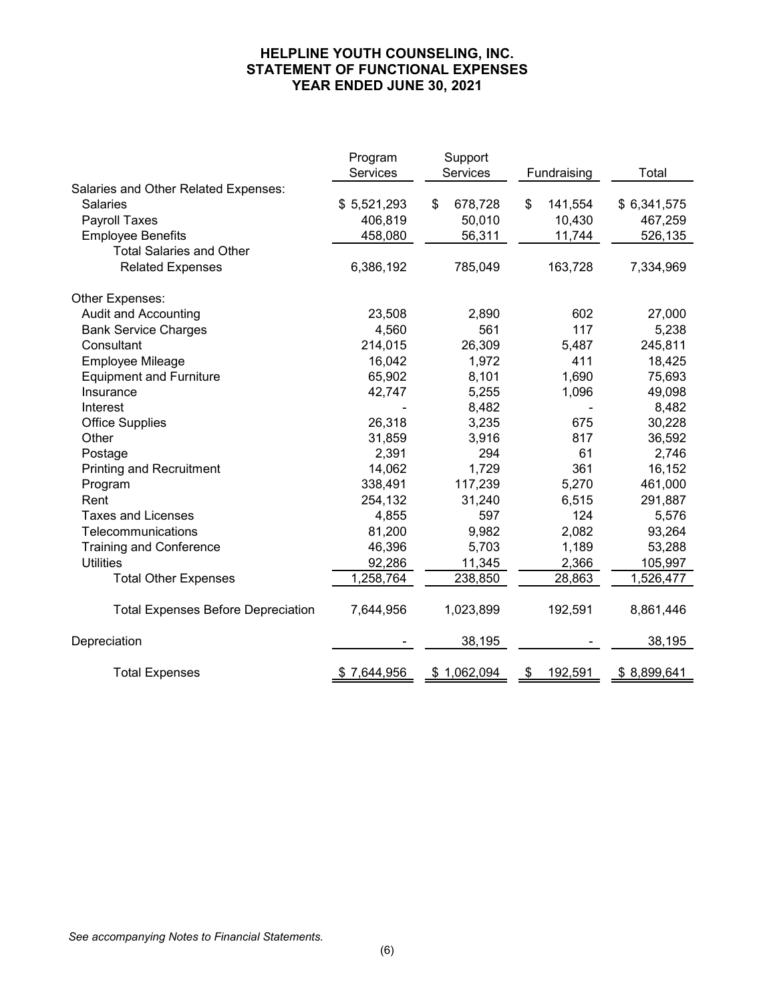## **HELPLINE YOUTH COUNSELING, INC. STATEMENT OF FUNCTIONAL EXPENSES YEAR ENDED JUNE 30, 2021**

|                                           | Program     | Support       |               |             |
|-------------------------------------------|-------------|---------------|---------------|-------------|
|                                           | Services    | Services      | Fundraising   | Total       |
| Salaries and Other Related Expenses:      |             |               |               |             |
| <b>Salaries</b>                           | \$5,521,293 | 678,728<br>\$ | 141,554<br>\$ | \$6,341,575 |
| Payroll Taxes                             | 406,819     | 50,010        | 10,430        | 467,259     |
| <b>Employee Benefits</b>                  | 458,080     | 56,311        | 11,744        | 526,135     |
| <b>Total Salaries and Other</b>           |             |               |               |             |
| <b>Related Expenses</b>                   | 6,386,192   | 785,049       | 163,728       | 7,334,969   |
| Other Expenses:                           |             |               |               |             |
| <b>Audit and Accounting</b>               | 23,508      | 2,890         | 602           | 27,000      |
| <b>Bank Service Charges</b>               | 4,560       | 561           | 117           | 5,238       |
| Consultant                                | 214,015     | 26,309        | 5,487         | 245,811     |
| <b>Employee Mileage</b>                   | 16,042      | 1,972         | 411           | 18,425      |
| <b>Equipment and Furniture</b>            | 65,902      | 8,101         | 1,690         | 75,693      |
| Insurance                                 | 42,747      | 5,255         | 1,096         | 49,098      |
| Interest                                  |             | 8,482         |               | 8,482       |
| <b>Office Supplies</b>                    | 26,318      | 3,235         | 675           | 30,228      |
| Other                                     | 31,859      | 3,916         | 817           | 36,592      |
| Postage                                   | 2,391       | 294           | 61            | 2,746       |
| <b>Printing and Recruitment</b>           | 14,062      | 1,729         | 361           | 16,152      |
| Program                                   | 338,491     | 117,239       | 5,270         | 461,000     |
| Rent                                      | 254,132     | 31,240        | 6,515         | 291,887     |
| <b>Taxes and Licenses</b>                 | 4,855       | 597           | 124           | 5,576       |
| Telecommunications                        | 81,200      | 9,982         | 2,082         | 93,264      |
| <b>Training and Conference</b>            | 46,396      | 5,703         | 1,189         | 53,288      |
| <b>Utilities</b>                          | 92,286      | 11,345        | 2,366         | 105,997     |
| <b>Total Other Expenses</b>               | 1,258,764   | 238,850       | 28,863        | 1,526,477   |
| <b>Total Expenses Before Depreciation</b> | 7,644,956   | 1,023,899     | 192,591       | 8,861,446   |
| Depreciation                              |             | 38,195        |               | 38,195      |
| <b>Total Expenses</b>                     | \$7,644,956 | \$1,062,094   | 192,591<br>\$ | \$8,899,641 |

*See accompanying Notes to Financial Statements.*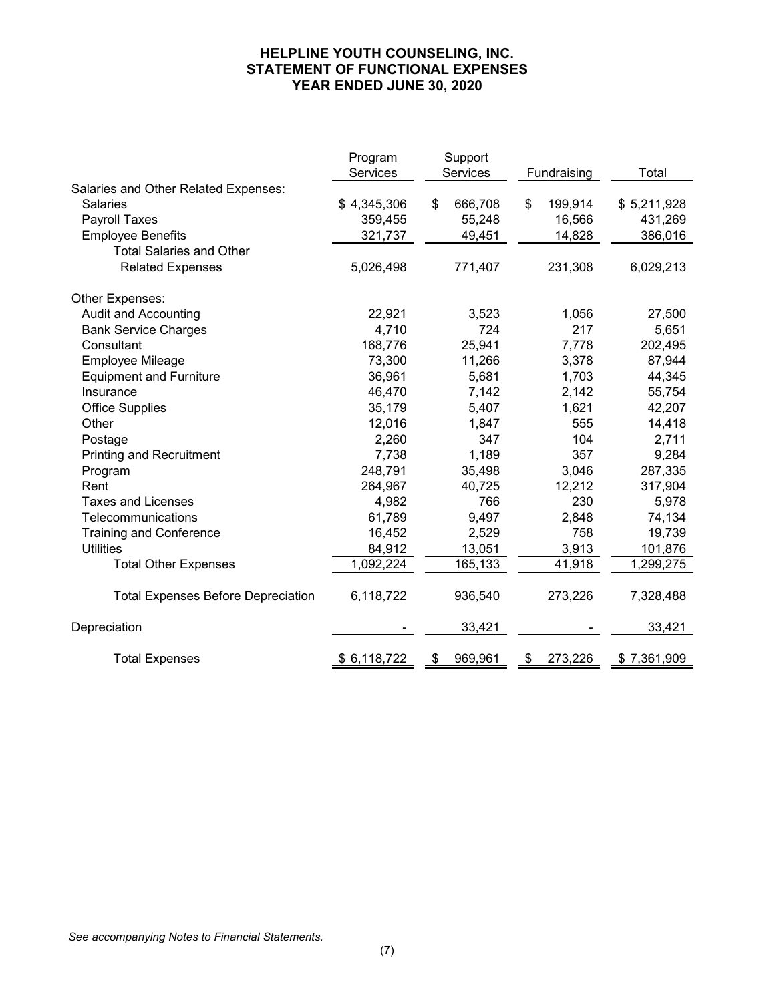## **HELPLINE YOUTH COUNSELING, INC. STATEMENT OF FUNCTIONAL EXPENSES YEAR ENDED JUNE 30, 2020**

|                                           | Program     | Support       |               |             |
|-------------------------------------------|-------------|---------------|---------------|-------------|
|                                           | Services    | Services      | Fundraising   | Total       |
| Salaries and Other Related Expenses:      |             |               |               |             |
| <b>Salaries</b>                           | \$4,345,306 | \$<br>666,708 | \$<br>199,914 | \$5,211,928 |
| <b>Payroll Taxes</b>                      | 359,455     | 55,248        | 16,566        | 431,269     |
| <b>Employee Benefits</b>                  | 321,737     | 49,451        | 14,828        | 386,016     |
| <b>Total Salaries and Other</b>           |             |               |               |             |
| <b>Related Expenses</b>                   | 5,026,498   | 771,407       | 231,308       | 6,029,213   |
| Other Expenses:                           |             |               |               |             |
| <b>Audit and Accounting</b>               | 22,921      | 3,523         | 1,056         | 27,500      |
| <b>Bank Service Charges</b>               | 4,710       | 724           | 217           | 5,651       |
| Consultant                                | 168,776     | 25,941        | 7,778         | 202,495     |
| <b>Employee Mileage</b>                   | 73,300      | 11,266        | 3,378         | 87,944      |
| <b>Equipment and Furniture</b>            | 36,961      | 5,681         | 1,703         | 44,345      |
| Insurance                                 | 46,470      | 7,142         | 2,142         | 55,754      |
| <b>Office Supplies</b>                    | 35,179      | 5,407         | 1,621         | 42,207      |
| Other                                     | 12,016      | 1,847         | 555           | 14,418      |
| Postage                                   | 2,260       | 347           | 104           | 2,711       |
| <b>Printing and Recruitment</b>           | 7,738       | 1,189         | 357           | 9,284       |
| Program                                   | 248,791     | 35,498        | 3,046         | 287,335     |
| Rent                                      | 264,967     | 40,725        | 12,212        | 317,904     |
| <b>Taxes and Licenses</b>                 | 4,982       | 766           | 230           | 5,978       |
| Telecommunications                        | 61,789      | 9,497         | 2,848         | 74,134      |
| <b>Training and Conference</b>            | 16,452      | 2,529         | 758           | 19,739      |
| <b>Utilities</b>                          | 84,912      | 13,051        | 3,913         | 101,876     |
| <b>Total Other Expenses</b>               | 1,092,224   | 165,133       | 41,918        | 1,299,275   |
| <b>Total Expenses Before Depreciation</b> | 6,118,722   | 936,540       | 273,226       | 7,328,488   |
| Depreciation                              |             | 33,421        |               | 33,421      |
| <b>Total Expenses</b>                     | \$6,118,722 | 969,961<br>\$ | 273,226<br>\$ | \$7,361,909 |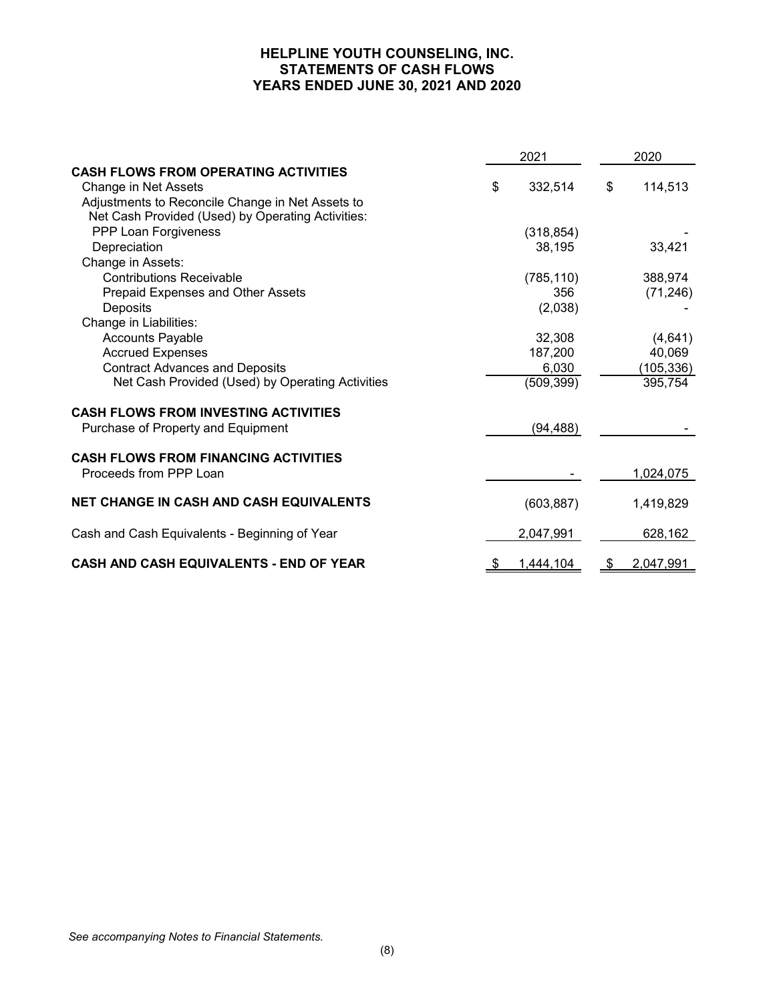## **HELPLINE YOUTH COUNSELING, INC. STATEMENTS OF CASH FLOWS YEARS ENDED JUNE 30, 2021 AND 2020**

|                                                   | 2021 |            | 2020 |            |
|---------------------------------------------------|------|------------|------|------------|
| <b>CASH FLOWS FROM OPERATING ACTIVITIES</b>       |      |            |      |            |
| Change in Net Assets                              | \$   | 332,514    | \$   | 114,513    |
| Adjustments to Reconcile Change in Net Assets to  |      |            |      |            |
| Net Cash Provided (Used) by Operating Activities: |      |            |      |            |
| PPP Loan Forgiveness                              |      | (318, 854) |      |            |
| Depreciation                                      |      | 38,195     |      | 33,421     |
| Change in Assets:                                 |      |            |      |            |
| <b>Contributions Receivable</b>                   |      | (785, 110) |      | 388,974    |
| Prepaid Expenses and Other Assets                 |      | 356        |      | (71, 246)  |
| Deposits                                          |      | (2,038)    |      |            |
| Change in Liabilities:                            |      |            |      |            |
| <b>Accounts Payable</b>                           |      | 32,308     |      | (4,641)    |
| <b>Accrued Expenses</b>                           |      | 187,200    |      | 40,069     |
| <b>Contract Advances and Deposits</b>             |      | 6,030      |      | (105, 336) |
| Net Cash Provided (Used) by Operating Activities  |      | (509, 399) |      | 395,754    |
| <b>CASH FLOWS FROM INVESTING ACTIVITIES</b>       |      |            |      |            |
| Purchase of Property and Equipment                |      | (94, 488)  |      |            |
| <b>CASH FLOWS FROM FINANCING ACTIVITIES</b>       |      |            |      |            |
| Proceeds from PPP Loan                            |      |            |      | 1,024,075  |
| NET CHANGE IN CASH AND CASH EQUIVALENTS           |      | (603, 887) |      | 1,419,829  |
| Cash and Cash Equivalents - Beginning of Year     |      | 2,047,991  |      | 628,162    |
| CASH AND CASH EQUIVALENTS - END OF YEAR           | -\$  | 1,444,104  | \$   | 2,047,991  |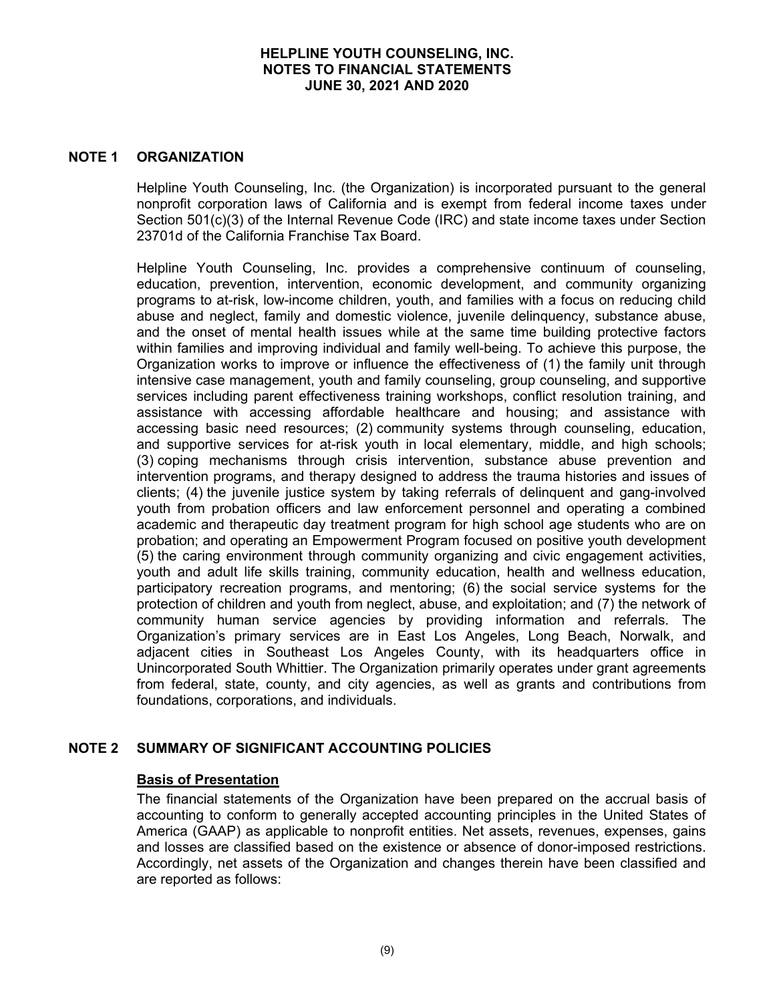#### **NOTE 1 ORGANIZATION**

Helpline Youth Counseling, Inc. (the Organization) is incorporated pursuant to the general nonprofit corporation laws of California and is exempt from federal income taxes under Section 501(c)(3) of the Internal Revenue Code (IRC) and state income taxes under Section 23701d of the California Franchise Tax Board.

Helpline Youth Counseling, Inc. provides a comprehensive continuum of counseling, education, prevention, intervention, economic development, and community organizing programs to at-risk, low-income children, youth, and families with a focus on reducing child abuse and neglect, family and domestic violence, juvenile delinquency, substance abuse, and the onset of mental health issues while at the same time building protective factors within families and improving individual and family well-being. To achieve this purpose, the Organization works to improve or influence the effectiveness of (1) the family unit through intensive case management, youth and family counseling, group counseling, and supportive services including parent effectiveness training workshops, conflict resolution training, and assistance with accessing affordable healthcare and housing; and assistance with accessing basic need resources; (2) community systems through counseling, education, and supportive services for at-risk youth in local elementary, middle, and high schools; (3) coping mechanisms through crisis intervention, substance abuse prevention and intervention programs, and therapy designed to address the trauma histories and issues of clients; (4) the juvenile justice system by taking referrals of delinquent and gang-involved youth from probation officers and law enforcement personnel and operating a combined academic and therapeutic day treatment program for high school age students who are on probation; and operating an Empowerment Program focused on positive youth development (5) the caring environment through community organizing and civic engagement activities, youth and adult life skills training, community education, health and wellness education, participatory recreation programs, and mentoring; (6) the social service systems for the protection of children and youth from neglect, abuse, and exploitation; and (7) the network of community human service agencies by providing information and referrals. The Organization's primary services are in East Los Angeles, Long Beach, Norwalk, and adjacent cities in Southeast Los Angeles County, with its headquarters office in Unincorporated South Whittier. The Organization primarily operates under grant agreements from federal, state, county, and city agencies, as well as grants and contributions from foundations, corporations, and individuals.

#### **NOTE 2 SUMMARY OF SIGNIFICANT ACCOUNTING POLICIES**

#### **Basis of Presentation**

The financial statements of the Organization have been prepared on the accrual basis of accounting to conform to generally accepted accounting principles in the United States of America (GAAP) as applicable to nonprofit entities. Net assets, revenues, expenses, gains and losses are classified based on the existence or absence of donor-imposed restrictions. Accordingly, net assets of the Organization and changes therein have been classified and are reported as follows: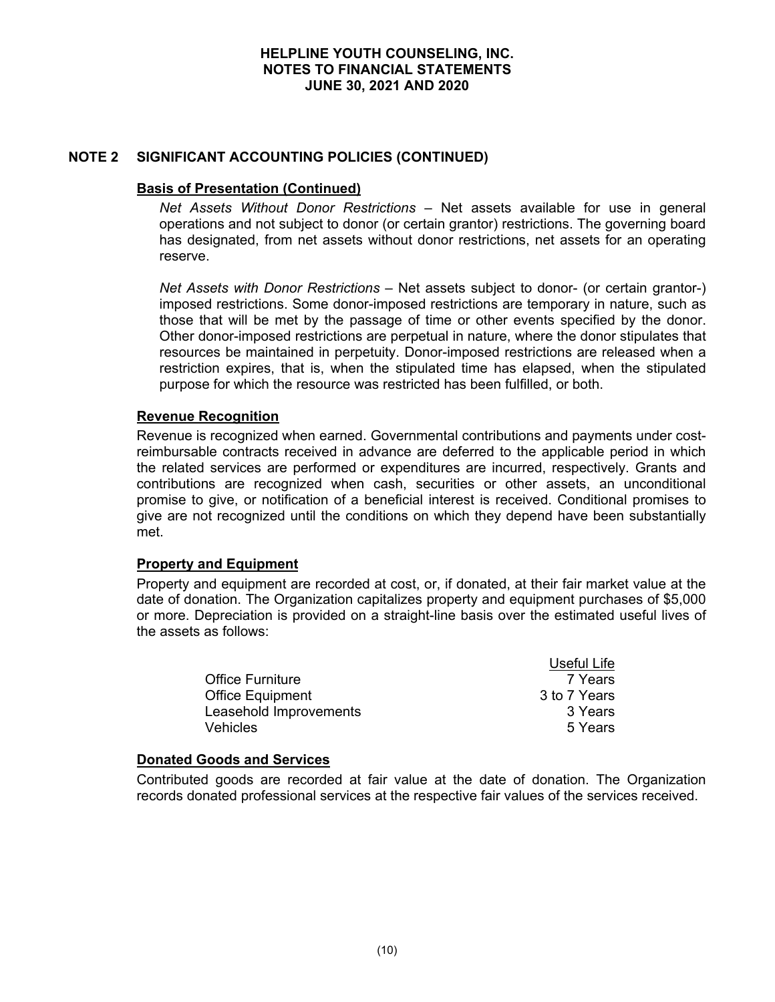## **NOTE 2 SIGNIFICANT ACCOUNTING POLICIES (CONTINUED)**

#### **Basis of Presentation (Continued)**

*Net Assets Without Donor Restrictions* – Net assets available for use in general operations and not subject to donor (or certain grantor) restrictions. The governing board has designated, from net assets without donor restrictions, net assets for an operating reserve.

*Net Assets with Donor Restrictions* – Net assets subject to donor- (or certain grantor-) imposed restrictions. Some donor-imposed restrictions are temporary in nature, such as those that will be met by the passage of time or other events specified by the donor. Other donor-imposed restrictions are perpetual in nature, where the donor stipulates that resources be maintained in perpetuity. Donor-imposed restrictions are released when a restriction expires, that is, when the stipulated time has elapsed, when the stipulated purpose for which the resource was restricted has been fulfilled, or both.

#### **Revenue Recognition**

Revenue is recognized when earned. Governmental contributions and payments under costreimbursable contracts received in advance are deferred to the applicable period in which the related services are performed or expenditures are incurred, respectively. Grants and contributions are recognized when cash, securities or other assets, an unconditional promise to give, or notification of a beneficial interest is received. Conditional promises to give are not recognized until the conditions on which they depend have been substantially met.

#### **Property and Equipment**

Property and equipment are recorded at cost, or, if donated, at their fair market value at the date of donation. The Organization capitalizes property and equipment purchases of \$5,000 or more. Depreciation is provided on a straight-line basis over the estimated useful lives of the assets as follows:

|                         | Useful Life  |
|-------------------------|--------------|
| <b>Office Furniture</b> | 7 Years      |
| <b>Office Equipment</b> | 3 to 7 Years |
| Leasehold Improvements  | 3 Years      |
| <b>Vehicles</b>         | 5 Years      |

#### **Donated Goods and Services**

Contributed goods are recorded at fair value at the date of donation. The Organization records donated professional services at the respective fair values of the services received.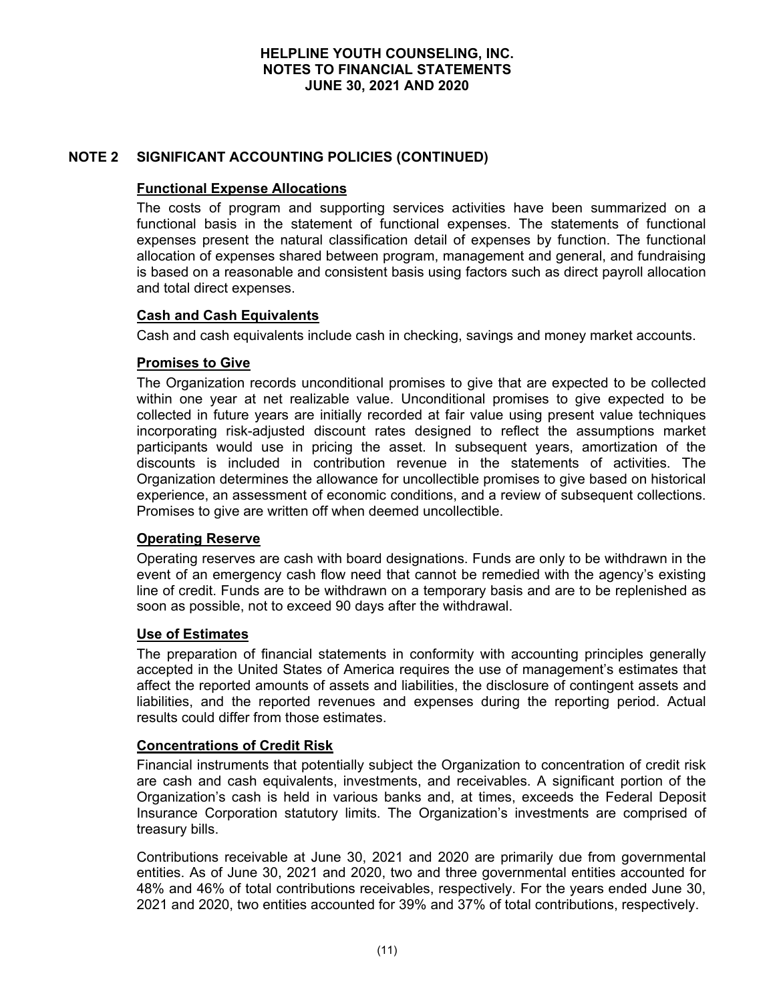## **NOTE 2 SIGNIFICANT ACCOUNTING POLICIES (CONTINUED)**

#### **Functional Expense Allocations**

The costs of program and supporting services activities have been summarized on a functional basis in the statement of functional expenses. The statements of functional expenses present the natural classification detail of expenses by function. The functional allocation of expenses shared between program, management and general, and fundraising is based on a reasonable and consistent basis using factors such as direct payroll allocation and total direct expenses.

## **Cash and Cash Equivalents**

Cash and cash equivalents include cash in checking, savings and money market accounts.

## **Promises to Give**

The Organization records unconditional promises to give that are expected to be collected within one year at net realizable value. Unconditional promises to give expected to be collected in future years are initially recorded at fair value using present value techniques incorporating risk-adjusted discount rates designed to reflect the assumptions market participants would use in pricing the asset. In subsequent years, amortization of the discounts is included in contribution revenue in the statements of activities. The Organization determines the allowance for uncollectible promises to give based on historical experience, an assessment of economic conditions, and a review of subsequent collections. Promises to give are written off when deemed uncollectible.

## **Operating Reserve**

Operating reserves are cash with board designations. Funds are only to be withdrawn in the event of an emergency cash flow need that cannot be remedied with the agency's existing line of credit. Funds are to be withdrawn on a temporary basis and are to be replenished as soon as possible, not to exceed 90 days after the withdrawal.

#### **Use of Estimates**

The preparation of financial statements in conformity with accounting principles generally accepted in the United States of America requires the use of management's estimates that affect the reported amounts of assets and liabilities, the disclosure of contingent assets and liabilities, and the reported revenues and expenses during the reporting period. Actual results could differ from those estimates.

#### **Concentrations of Credit Risk**

Financial instruments that potentially subject the Organization to concentration of credit risk are cash and cash equivalents, investments, and receivables. A significant portion of the Organization's cash is held in various banks and, at times, exceeds the Federal Deposit Insurance Corporation statutory limits. The Organization's investments are comprised of treasury bills.

Contributions receivable at June 30, 2021 and 2020 are primarily due from governmental entities. As of June 30, 2021 and 2020, two and three governmental entities accounted for 48% and 46% of total contributions receivables, respectively. For the years ended June 30, 2021 and 2020, two entities accounted for 39% and 37% of total contributions, respectively.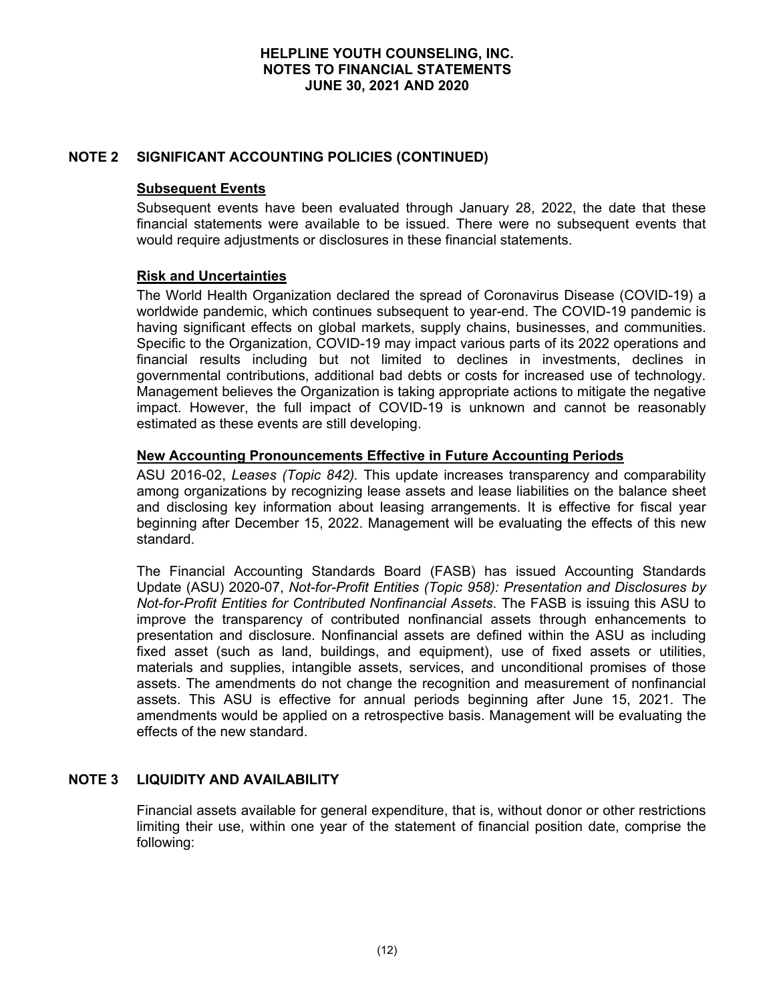## **NOTE 2 SIGNIFICANT ACCOUNTING POLICIES (CONTINUED)**

#### **Subsequent Events**

Subsequent events have been evaluated through January 28, 2022, the date that these financial statements were available to be issued. There were no subsequent events that would require adjustments or disclosures in these financial statements.

## **Risk and Uncertainties**

The World Health Organization declared the spread of Coronavirus Disease (COVID-19) a worldwide pandemic, which continues subsequent to year-end. The COVID-19 pandemic is having significant effects on global markets, supply chains, businesses, and communities. Specific to the Organization, COVID-19 may impact various parts of its 2022 operations and financial results including but not limited to declines in investments, declines in governmental contributions, additional bad debts or costs for increased use of technology. Management believes the Organization is taking appropriate actions to mitigate the negative impact. However, the full impact of COVID-19 is unknown and cannot be reasonably estimated as these events are still developing.

## **New Accounting Pronouncements Effective in Future Accounting Periods**

ASU 2016-02, *Leases (Topic 842).* This update increases transparency and comparability among organizations by recognizing lease assets and lease liabilities on the balance sheet and disclosing key information about leasing arrangements. It is effective for fiscal year beginning after December 15, 2022. Management will be evaluating the effects of this new standard.

The Financial Accounting Standards Board (FASB) has issued Accounting Standards Update (ASU) 2020-07, *Not-for-Profit Entities (Topic 958): Presentation and Disclosures by Not-for-Profit Entities for Contributed Nonfinancial Assets*. The FASB is issuing this ASU to improve the transparency of contributed nonfinancial assets through enhancements to presentation and disclosure. Nonfinancial assets are defined within the ASU as including fixed asset (such as land, buildings, and equipment), use of fixed assets or utilities, materials and supplies, intangible assets, services, and unconditional promises of those assets. The amendments do not change the recognition and measurement of nonfinancial assets. This ASU is effective for annual periods beginning after June 15, 2021. The amendments would be applied on a retrospective basis. Management will be evaluating the effects of the new standard.

## **NOTE 3 LIQUIDITY AND AVAILABILITY**

Financial assets available for general expenditure, that is, without donor or other restrictions limiting their use, within one year of the statement of financial position date, comprise the following: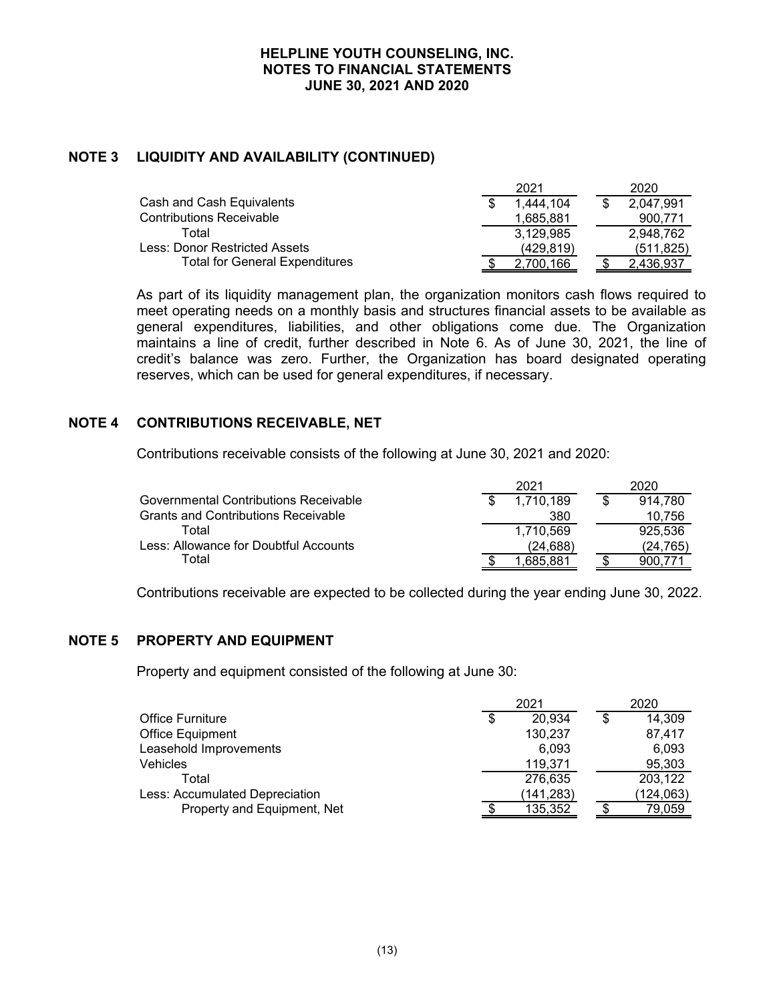## **NOTE 3 LIQUIDITY AND AVAILABILITY (CONTINUED)**

|                                 | 2021      | 2020      |
|---------------------------------|-----------|-----------|
| Cash and Cash Equivalents       | 1.444.104 | 2,047,991 |
| <b>Contributions Receivable</b> | 1.685.881 | 900.771   |
| Total                           | 3.129.985 | 2.948.762 |
| Less: Donor Restricted Assets   | (429.819) | (511.825) |
| Total for General Expenditures  | 2.700.166 | 2.436.937 |

As part of its liquidity management plan, the organization monitors cash flows required to meet operating needs on a monthly basis and structures financial assets to be available as general expenditures, liabilities, and other obligations come due. The Organization maintains a line of credit, further described in Note 6. As of June 30, 2021, the line of credit's balance was zero. Further, the Organization has board designated operating reserves, which can be used for general expenditures, if necessary.

## **NOTE 4 CONTRIBUTIONS RECEIVABLE, NET**

Contributions receivable consists of the following at June 30, 2021 and 2020:

|                                            | 2021      | 2020     |
|--------------------------------------------|-----------|----------|
| Governmental Contributions Receivable      | 1.710.189 | 914.780  |
| <b>Grants and Contributions Receivable</b> | 380       | 10.756   |
| Total                                      | 1.710.569 | 925.536  |
| Less: Allowance for Doubtful Accounts      | (24.688)  | (24.765) |
| Total                                      |           |          |

Contributions receivable are expected to be collected during the year ending June 30, 2022.

## **NOTE 5 PROPERTY AND EQUIPMENT**

Property and equipment consisted of the following at June 30:

|                                |    | 2021      | 2020         |
|--------------------------------|----|-----------|--------------|
| Office Furniture               | \$ | 20,934    | \$<br>14,309 |
| Office Equipment               |    | 130,237   | 87,417       |
| Leasehold Improvements         |    | 6.093     | 6,093        |
| Vehicles                       |    | 119,371   | 95,303       |
| Total                          |    | 276,635   | 203,122      |
| Less: Accumulated Depreciation |    | (141,283) | (124, 063)   |
| Property and Equipment, Net    |    | 135,352   | 79,059       |
|                                |    |           |              |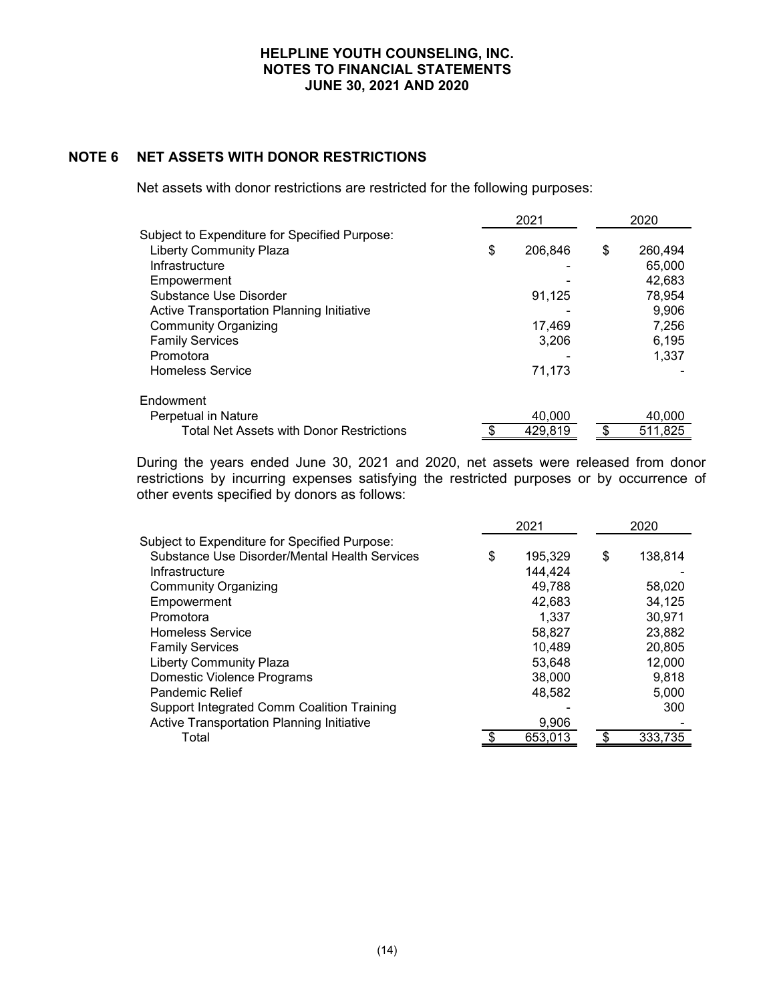## **NOTE 6 NET ASSETS WITH DONOR RESTRICTIONS**

Net assets with donor restrictions are restricted for the following purposes:

|                                               | 2021          | 2020          |  |
|-----------------------------------------------|---------------|---------------|--|
| Subject to Expenditure for Specified Purpose: |               |               |  |
| <b>Liberty Community Plaza</b>                | \$<br>206,846 | \$<br>260,494 |  |
| Infrastructure                                |               | 65,000        |  |
| Empowerment                                   |               | 42,683        |  |
| Substance Use Disorder                        | 91,125        | 78.954        |  |
| Active Transportation Planning Initiative     |               | 9.906         |  |
| <b>Community Organizing</b>                   | 17.469        | 7,256         |  |
| <b>Family Services</b>                        | 3.206         | 6,195         |  |
| Promotora                                     |               | 1,337         |  |
| <b>Homeless Service</b>                       | 71.173        |               |  |
| Endowment                                     |               |               |  |
| Perpetual in Nature                           | 40,000        | 40,000        |  |
| Total Net Assets with Donor Restrictions      | 429.819       | 511,825       |  |

During the years ended June 30, 2021 and 2020, net assets were released from donor restrictions by incurring expenses satisfying the restricted purposes or by occurrence of other events specified by donors as follows:

|                                               | 2021 |         | 2020 |         |
|-----------------------------------------------|------|---------|------|---------|
| Subject to Expenditure for Specified Purpose: |      |         |      |         |
| Substance Use Disorder/Mental Health Services | \$   | 195,329 | \$   | 138,814 |
| Infrastructure                                |      | 144,424 |      |         |
| <b>Community Organizing</b>                   |      | 49,788  |      | 58,020  |
| Empowerment                                   |      | 42.683  |      | 34,125  |
| Promotora                                     |      | 1.337   |      | 30,971  |
| <b>Homeless Service</b>                       |      | 58.827  |      | 23.882  |
| <b>Family Services</b>                        |      | 10,489  |      | 20,805  |
| <b>Liberty Community Plaza</b>                |      | 53.648  |      | 12,000  |
| Domestic Violence Programs                    |      | 38,000  |      | 9,818   |
| <b>Pandemic Relief</b>                        |      | 48,582  |      | 5,000   |
| Support Integrated Comm Coalition Training    |      |         |      | 300     |
| Active Transportation Planning Initiative     |      | 9.906   |      |         |
| Total                                         |      | 653,013 |      | 333.735 |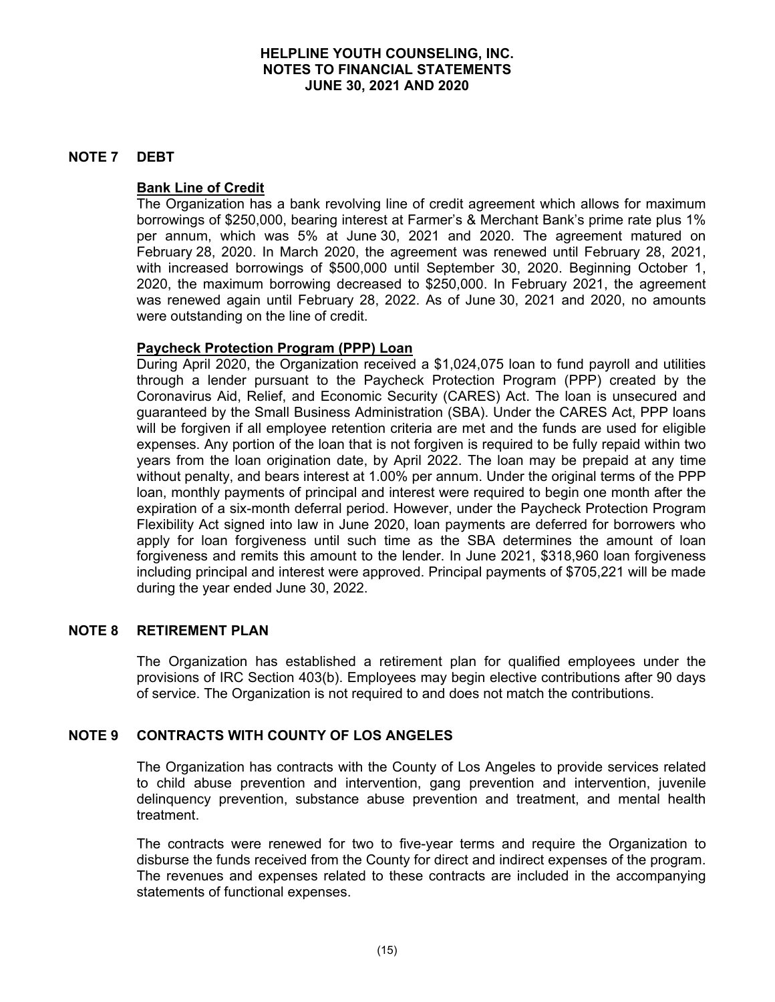#### **NOTE 7 DEBT**

## **Bank Line of Credit**

The Organization has a bank revolving line of credit agreement which allows for maximum borrowings of \$250,000, bearing interest at Farmer's & Merchant Bank's prime rate plus 1% per annum, which was 5% at June 30, 2021 and 2020. The agreement matured on February 28, 2020. In March 2020, the agreement was renewed until February 28, 2021, with increased borrowings of \$500,000 until September 30, 2020. Beginning October 1, 2020, the maximum borrowing decreased to \$250,000. In February 2021, the agreement was renewed again until February 28, 2022. As of June 30, 2021 and 2020, no amounts were outstanding on the line of credit.

## **Paycheck Protection Program (PPP) Loan**

During April 2020, the Organization received a \$1,024,075 loan to fund payroll and utilities through a lender pursuant to the Paycheck Protection Program (PPP) created by the Coronavirus Aid, Relief, and Economic Security (CARES) Act. The loan is unsecured and guaranteed by the Small Business Administration (SBA). Under the CARES Act, PPP loans will be forgiven if all employee retention criteria are met and the funds are used for eligible expenses. Any portion of the loan that is not forgiven is required to be fully repaid within two years from the loan origination date, by April 2022. The loan may be prepaid at any time without penalty, and bears interest at 1.00% per annum. Under the original terms of the PPP loan, monthly payments of principal and interest were required to begin one month after the expiration of a six-month deferral period. However, under the Paycheck Protection Program Flexibility Act signed into law in June 2020, loan payments are deferred for borrowers who apply for loan forgiveness until such time as the SBA determines the amount of loan forgiveness and remits this amount to the lender. In June 2021, \$318,960 loan forgiveness including principal and interest were approved. Principal payments of \$705,221 will be made during the year ended June 30, 2022.

## **NOTE 8 RETIREMENT PLAN**

The Organization has established a retirement plan for qualified employees under the provisions of IRC Section 403(b). Employees may begin elective contributions after 90 days of service. The Organization is not required to and does not match the contributions.

## **NOTE 9 CONTRACTS WITH COUNTY OF LOS ANGELES**

The Organization has contracts with the County of Los Angeles to provide services related to child abuse prevention and intervention, gang prevention and intervention, juvenile delinquency prevention, substance abuse prevention and treatment, and mental health treatment.

The contracts were renewed for two to five-year terms and require the Organization to disburse the funds received from the County for direct and indirect expenses of the program. The revenues and expenses related to these contracts are included in the accompanying statements of functional expenses.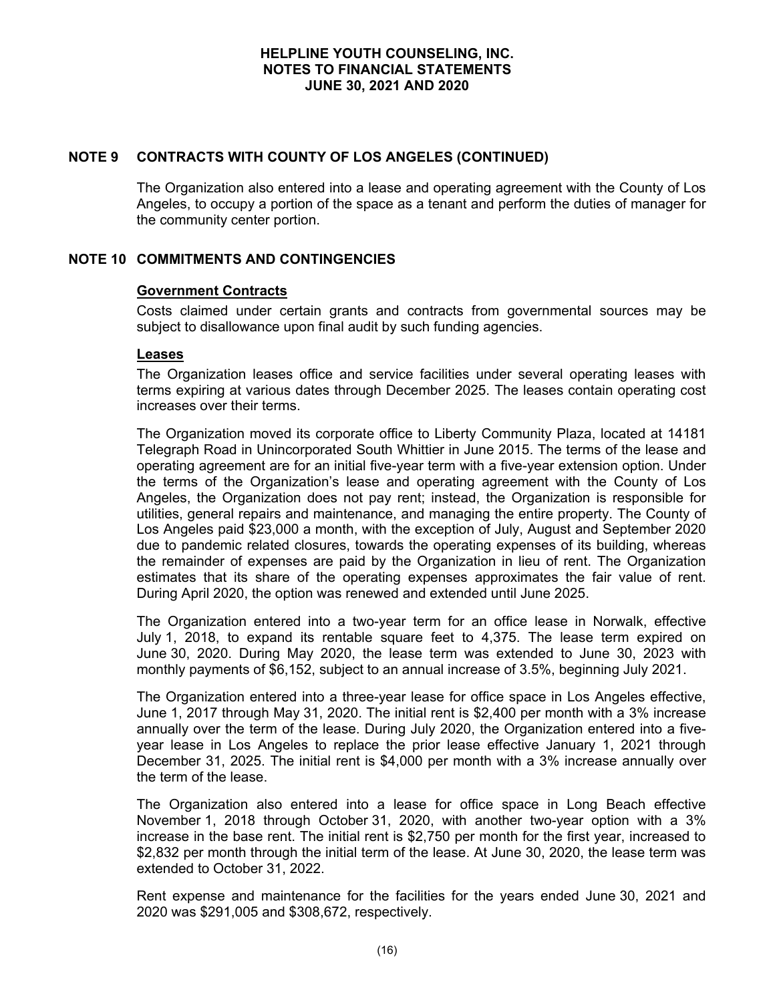## **NOTE 9 CONTRACTS WITH COUNTY OF LOS ANGELES (CONTINUED)**

The Organization also entered into a lease and operating agreement with the County of Los Angeles, to occupy a portion of the space as a tenant and perform the duties of manager for the community center portion.

## **NOTE 10 COMMITMENTS AND CONTINGENCIES**

#### **Government Contracts**

Costs claimed under certain grants and contracts from governmental sources may be subject to disallowance upon final audit by such funding agencies.

#### **Leases**

The Organization leases office and service facilities under several operating leases with terms expiring at various dates through December 2025. The leases contain operating cost increases over their terms.

The Organization moved its corporate office to Liberty Community Plaza, located at 14181 Telegraph Road in Unincorporated South Whittier in June 2015. The terms of the lease and operating agreement are for an initial five-year term with a five-year extension option. Under the terms of the Organization's lease and operating agreement with the County of Los Angeles, the Organization does not pay rent; instead, the Organization is responsible for utilities, general repairs and maintenance, and managing the entire property. The County of Los Angeles paid \$23,000 a month, with the exception of July, August and September 2020 due to pandemic related closures, towards the operating expenses of its building, whereas the remainder of expenses are paid by the Organization in lieu of rent. The Organization estimates that its share of the operating expenses approximates the fair value of rent. During April 2020, the option was renewed and extended until June 2025.

The Organization entered into a two-year term for an office lease in Norwalk, effective July 1, 2018, to expand its rentable square feet to 4,375. The lease term expired on June 30, 2020. During May 2020, the lease term was extended to June 30, 2023 with monthly payments of \$6,152, subject to an annual increase of 3.5%, beginning July 2021.

The Organization entered into a three-year lease for office space in Los Angeles effective, June 1, 2017 through May 31, 2020. The initial rent is \$2,400 per month with a 3% increase annually over the term of the lease. During July 2020, the Organization entered into a fiveyear lease in Los Angeles to replace the prior lease effective January 1, 2021 through December 31, 2025. The initial rent is \$4,000 per month with a 3% increase annually over the term of the lease.

The Organization also entered into a lease for office space in Long Beach effective November 1, 2018 through October 31, 2020, with another two-year option with a 3% increase in the base rent. The initial rent is \$2,750 per month for the first year, increased to \$2,832 per month through the initial term of the lease. At June 30, 2020, the lease term was extended to October 31, 2022.

Rent expense and maintenance for the facilities for the years ended June 30, 2021 and 2020 was \$291,005 and \$308,672, respectively.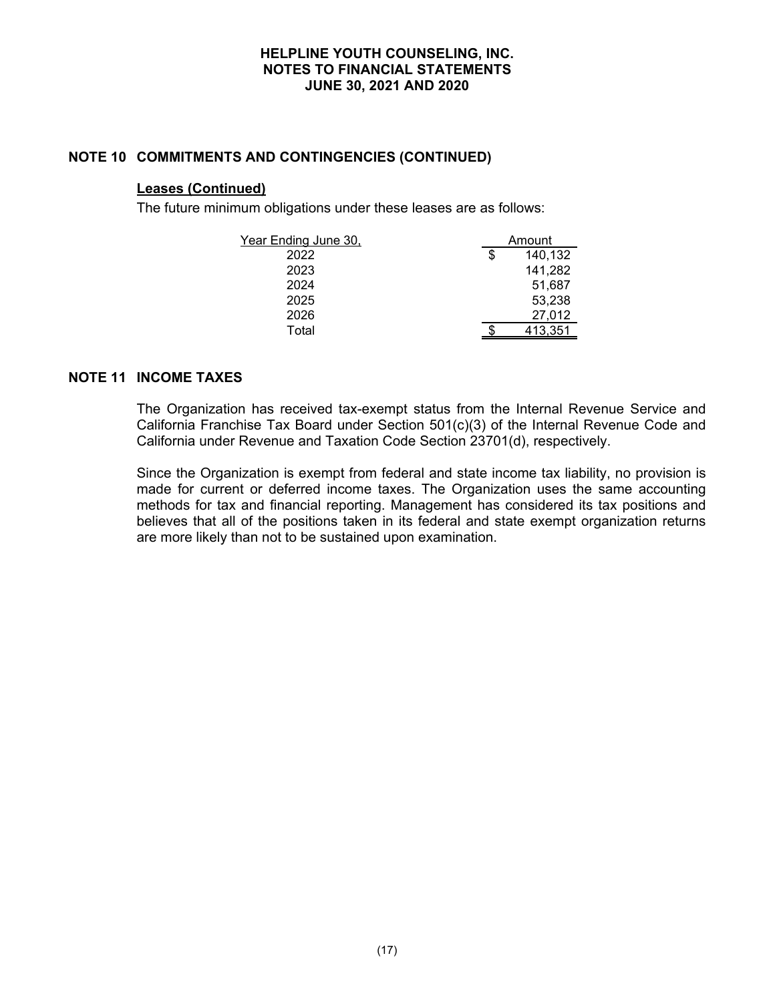### **NOTE 10 COMMITMENTS AND CONTINGENCIES (CONTINUED)**

#### **Leases (Continued)**

The future minimum obligations under these leases are as follows:

| Year Ending June 30, | Amount |         |  |
|----------------------|--------|---------|--|
| 2022                 | \$     | 140,132 |  |
| 2023                 |        | 141,282 |  |
| 2024                 |        | 51,687  |  |
| 2025                 |        | 53,238  |  |
| 2026                 |        | 27.012  |  |
| Total                |        | 413.351 |  |

# **NOTE 11 INCOME TAXES**

The Organization has received tax-exempt status from the Internal Revenue Service and California Franchise Tax Board under Section 501(c)(3) of the Internal Revenue Code and California under Revenue and Taxation Code Section 23701(d), respectively.

Since the Organization is exempt from federal and state income tax liability, no provision is made for current or deferred income taxes. The Organization uses the same accounting methods for tax and financial reporting. Management has considered its tax positions and believes that all of the positions taken in its federal and state exempt organization returns are more likely than not to be sustained upon examination.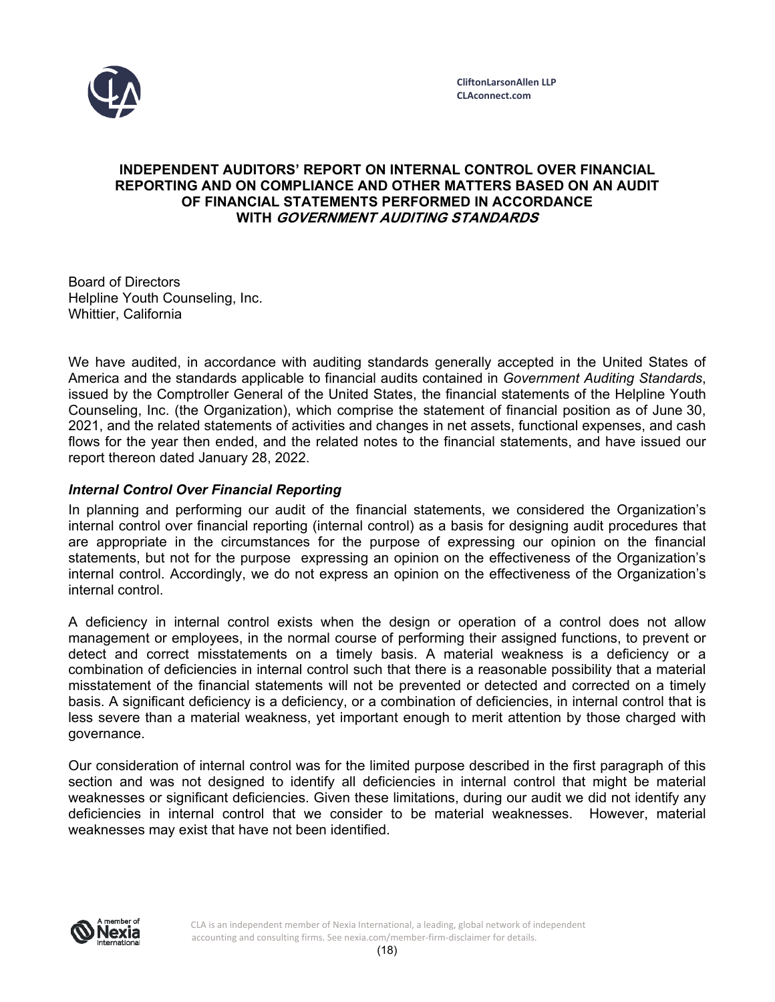

## **INDEPENDENT AUDITORS' REPORT ON INTERNAL CONTROL OVER FINANCIAL REPORTING AND ON COMPLIANCE AND OTHER MATTERS BASED ON AN AUDIT OF FINANCIAL STATEMENTS PERFORMED IN ACCORDANCE WITH GOVERNMENT AUDITING STANDARDS**

Board of Directors Helpline Youth Counseling, Inc. Whittier, California

We have audited, in accordance with auditing standards generally accepted in the United States of America and the standards applicable to financial audits contained in *Government Auditing Standards*, issued by the Comptroller General of the United States, the financial statements of the Helpline Youth Counseling, Inc. (the Organization), which comprise the statement of financial position as of June 30, 2021, and the related statements of activities and changes in net assets, functional expenses, and cash flows for the year then ended, and the related notes to the financial statements, and have issued our report thereon dated January 28, 2022.

## *Internal Control Over Financial Reporting*

In planning and performing our audit of the financial statements, we considered the Organization's internal control over financial reporting (internal control) as a basis for designing audit procedures that are appropriate in the circumstances for the purpose of expressing our opinion on the financial statements, but not for the purpose expressing an opinion on the effectiveness of the Organization's internal control. Accordingly, we do not express an opinion on the effectiveness of the Organization's internal control.

A deficiency in internal control exists when the design or operation of a control does not allow management or employees, in the normal course of performing their assigned functions, to prevent or detect and correct misstatements on a timely basis. A material weakness is a deficiency or a combination of deficiencies in internal control such that there is a reasonable possibility that a material misstatement of the financial statements will not be prevented or detected and corrected on a timely basis. A significant deficiency is a deficiency, or a combination of deficiencies, in internal control that is less severe than a material weakness, yet important enough to merit attention by those charged with governance.

Our consideration of internal control was for the limited purpose described in the first paragraph of this section and was not designed to identify all deficiencies in internal control that might be material weaknesses or significant deficiencies. Given these limitations, during our audit we did not identify any deficiencies in internal control that we consider to be material weaknesses. However, material weaknesses may exist that have not been identified.



CLA is an independent member of Nexia International, a leading, global network of independent accounting and consulting firms. See nexia.com/member-firm-disclaimer for details.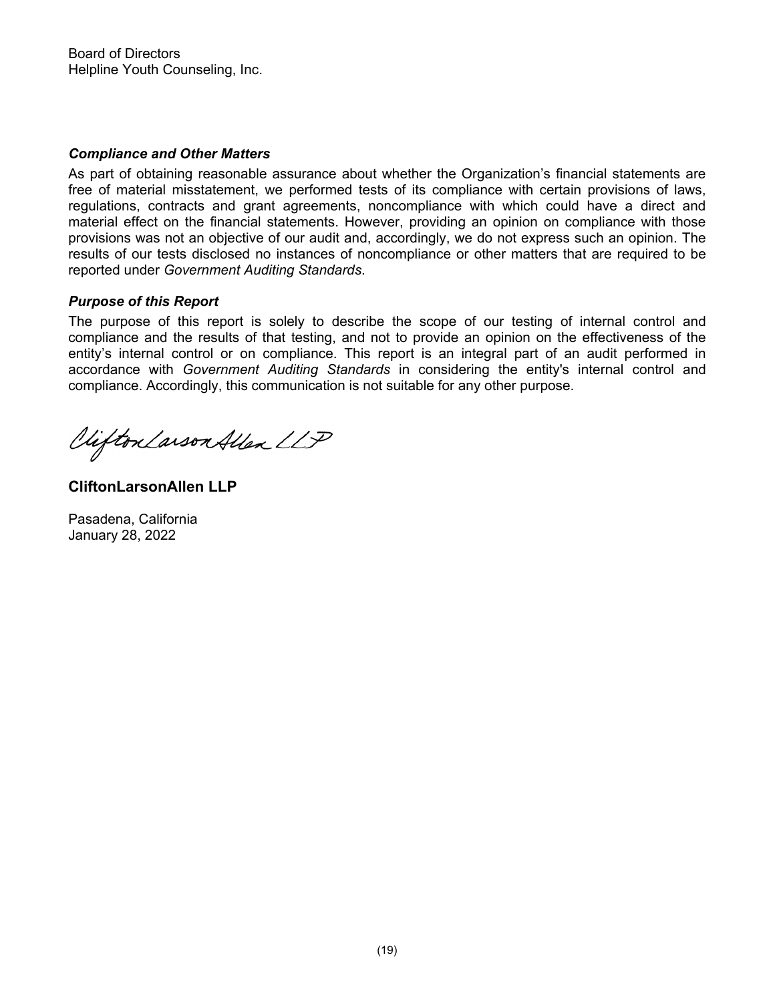## *Compliance and Other Matters*

As part of obtaining reasonable assurance about whether the Organization's financial statements are free of material misstatement, we performed tests of its compliance with certain provisions of laws, regulations, contracts and grant agreements, noncompliance with which could have a direct and material effect on the financial statements. However, providing an opinion on compliance with those provisions was not an objective of our audit and, accordingly, we do not express such an opinion. The results of our tests disclosed no instances of noncompliance or other matters that are required to be reported under *Government Auditing Standards*.

## *Purpose of this Report*

The purpose of this report is solely to describe the scope of our testing of internal control and compliance and the results of that testing, and not to provide an opinion on the effectiveness of the entity's internal control or on compliance. This report is an integral part of an audit performed in accordance with *Government Auditing Standards* in considering the entity's internal control and compliance. Accordingly, this communication is not suitable for any other purpose.

Viifton Larson Allen LLP

**CliftonLarsonAllen LLP** 

Pasadena, California January 28, 2022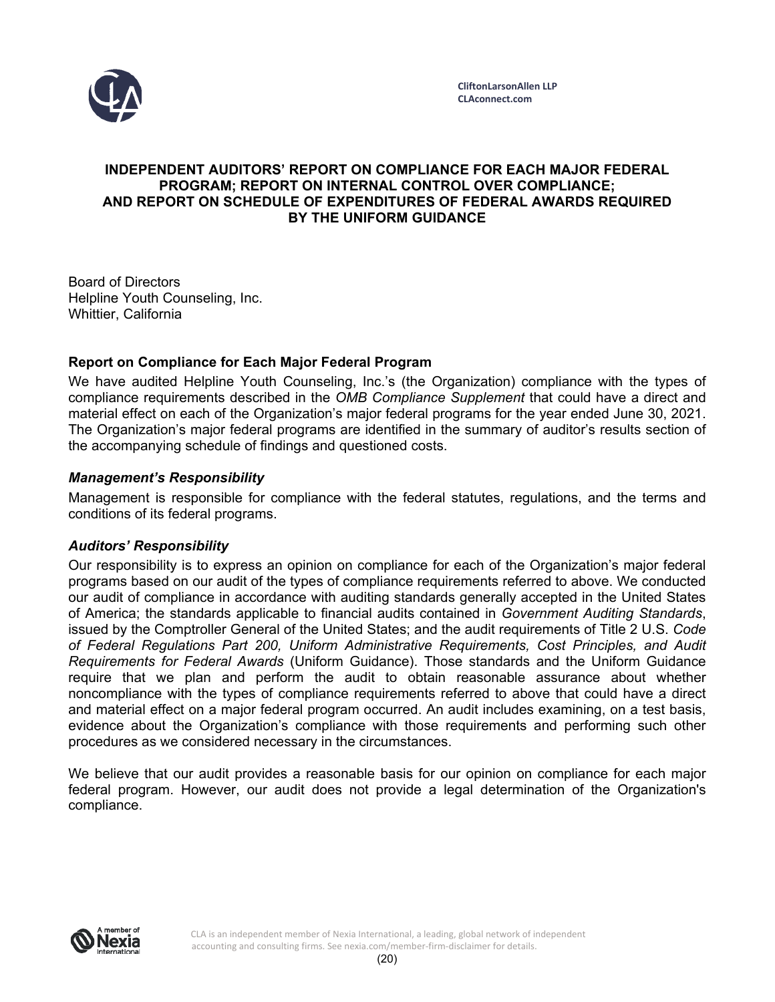

## **INDEPENDENT AUDITORS' REPORT ON COMPLIANCE FOR EACH MAJOR FEDERAL PROGRAM; REPORT ON INTERNAL CONTROL OVER COMPLIANCE; AND REPORT ON SCHEDULE OF EXPENDITURES OF FEDERAL AWARDS REQUIRED BY THE UNIFORM GUIDANCE**

Board of Directors Helpline Youth Counseling, Inc. Whittier, California

## **Report on Compliance for Each Major Federal Program**

We have audited Helpline Youth Counseling, Inc.'s (the Organization) compliance with the types of compliance requirements described in the *OMB Compliance Supplement* that could have a direct and material effect on each of the Organization's major federal programs for the year ended June 30, 2021. The Organization's major federal programs are identified in the summary of auditor's results section of the accompanying schedule of findings and questioned costs.

## *Management's Responsibility*

Management is responsible for compliance with the federal statutes, regulations, and the terms and conditions of its federal programs.

## *Auditors' Responsibility*

Our responsibility is to express an opinion on compliance for each of the Organization's major federal programs based on our audit of the types of compliance requirements referred to above. We conducted our audit of compliance in accordance with auditing standards generally accepted in the United States of America; the standards applicable to financial audits contained in *Government Auditing Standards*, issued by the Comptroller General of the United States; and the audit requirements of Title 2 U.S. *Code of Federal Regulations Part 200, Uniform Administrative Requirements, Cost Principles, and Audit Requirements for Federal Awards* (Uniform Guidance). Those standards and the Uniform Guidance require that we plan and perform the audit to obtain reasonable assurance about whether noncompliance with the types of compliance requirements referred to above that could have a direct and material effect on a major federal program occurred. An audit includes examining, on a test basis, evidence about the Organization's compliance with those requirements and performing such other procedures as we considered necessary in the circumstances.

We believe that our audit provides a reasonable basis for our opinion on compliance for each major federal program. However, our audit does not provide a legal determination of the Organization's compliance.

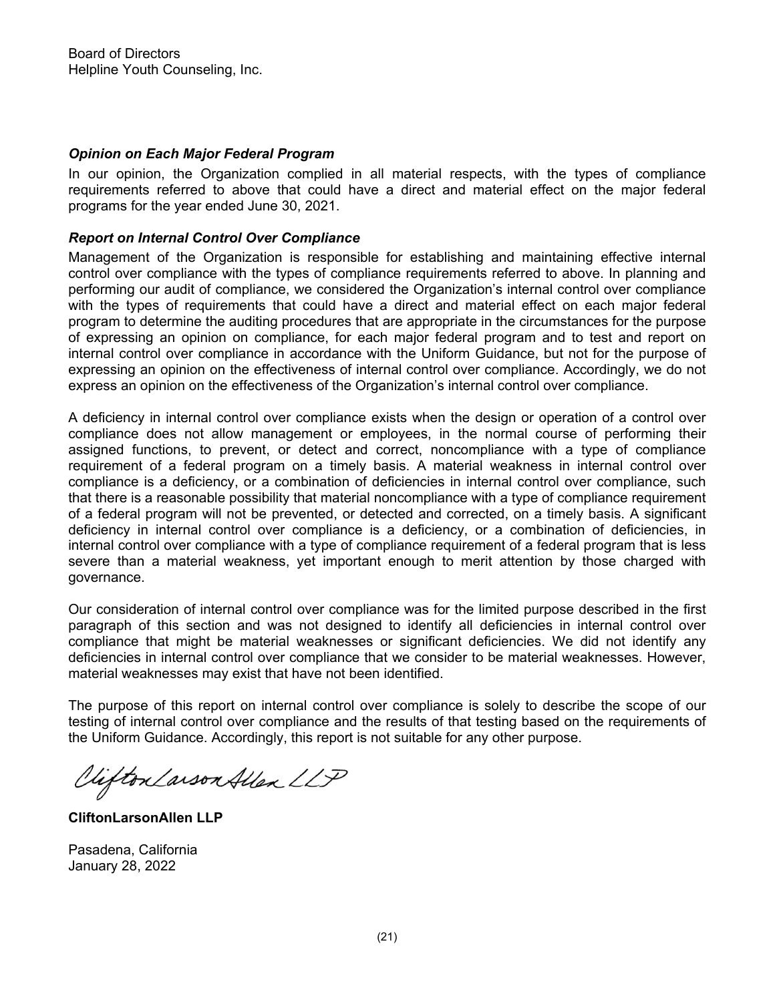### *Opinion on Each Major Federal Program*

In our opinion, the Organization complied in all material respects, with the types of compliance requirements referred to above that could have a direct and material effect on the major federal programs for the year ended June 30, 2021.

## *Report on Internal Control Over Compliance*

Management of the Organization is responsible for establishing and maintaining effective internal control over compliance with the types of compliance requirements referred to above. In planning and performing our audit of compliance, we considered the Organization's internal control over compliance with the types of requirements that could have a direct and material effect on each major federal program to determine the auditing procedures that are appropriate in the circumstances for the purpose of expressing an opinion on compliance, for each major federal program and to test and report on internal control over compliance in accordance with the Uniform Guidance, but not for the purpose of expressing an opinion on the effectiveness of internal control over compliance. Accordingly, we do not express an opinion on the effectiveness of the Organization's internal control over compliance.

A deficiency in internal control over compliance exists when the design or operation of a control over compliance does not allow management or employees, in the normal course of performing their assigned functions, to prevent, or detect and correct, noncompliance with a type of compliance requirement of a federal program on a timely basis. A material weakness in internal control over compliance is a deficiency, or a combination of deficiencies in internal control over compliance, such that there is a reasonable possibility that material noncompliance with a type of compliance requirement of a federal program will not be prevented, or detected and corrected, on a timely basis. A significant deficiency in internal control over compliance is a deficiency, or a combination of deficiencies, in internal control over compliance with a type of compliance requirement of a federal program that is less severe than a material weakness, yet important enough to merit attention by those charged with governance.

Our consideration of internal control over compliance was for the limited purpose described in the first paragraph of this section and was not designed to identify all deficiencies in internal control over compliance that might be material weaknesses or significant deficiencies. We did not identify any deficiencies in internal control over compliance that we consider to be material weaknesses. However, material weaknesses may exist that have not been identified.

The purpose of this report on internal control over compliance is solely to describe the scope of our testing of internal control over compliance and the results of that testing based on the requirements of the Uniform Guidance. Accordingly, this report is not suitable for any other purpose.

Clifton Larson Allen LLP

**CliftonLarsonAllen LLP** 

Pasadena, California January 28, 2022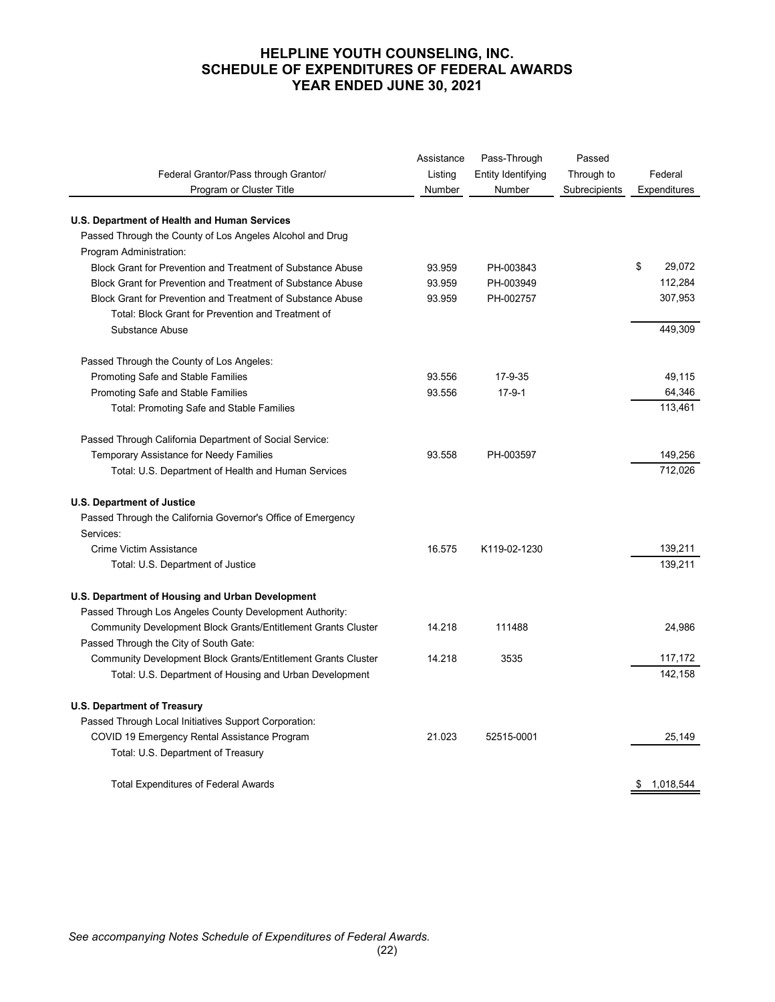## **HELPLINE YOUTH COUNSELING, INC. SCHEDULE OF EXPENDITURES OF FEDERAL AWARDS YEAR ENDED JUNE 30, 2021**

| Federal Grantor/Pass through Grantor/                         | Assistance<br>Listing | Pass-Through<br>Entity Identifying | Passed<br>Through to | Federal         |
|---------------------------------------------------------------|-----------------------|------------------------------------|----------------------|-----------------|
| Program or Cluster Title                                      | Number                | Number                             | Subrecipients        | Expenditures    |
|                                                               |                       |                                    |                      |                 |
| U.S. Department of Health and Human Services                  |                       |                                    |                      |                 |
| Passed Through the County of Los Angeles Alcohol and Drug     |                       |                                    |                      |                 |
| Program Administration:                                       |                       |                                    |                      |                 |
| Block Grant for Prevention and Treatment of Substance Abuse   | 93.959                | PH-003843                          |                      | \$<br>29,072    |
| Block Grant for Prevention and Treatment of Substance Abuse   | 93.959                | PH-003949                          |                      | 112,284         |
| Block Grant for Prevention and Treatment of Substance Abuse   | 93.959                | PH-002757                          |                      | 307,953         |
| Total: Block Grant for Prevention and Treatment of            |                       |                                    |                      |                 |
| Substance Abuse                                               |                       |                                    |                      | 449,309         |
| Passed Through the County of Los Angeles:                     |                       |                                    |                      |                 |
| Promoting Safe and Stable Families                            | 93.556                | 17-9-35                            |                      | 49,115          |
| Promoting Safe and Stable Families                            | 93.556                | $17-9-1$                           |                      | 64,346          |
| Total: Promoting Safe and Stable Families                     |                       |                                    |                      | 113,461         |
| Passed Through California Department of Social Service:       |                       |                                    |                      |                 |
| <b>Temporary Assistance for Needy Families</b>                | 93.558                | PH-003597                          |                      | 149,256         |
| Total: U.S. Department of Health and Human Services           |                       |                                    |                      | 712,026         |
| <b>U.S. Department of Justice</b>                             |                       |                                    |                      |                 |
| Passed Through the California Governor's Office of Emergency  |                       |                                    |                      |                 |
| Services:                                                     |                       |                                    |                      |                 |
| Crime Victim Assistance                                       | 16.575                | K119-02-1230                       |                      | 139,211         |
| Total: U.S. Department of Justice                             |                       |                                    |                      | 139,211         |
| U.S. Department of Housing and Urban Development              |                       |                                    |                      |                 |
| Passed Through Los Angeles County Development Authority:      |                       |                                    |                      |                 |
| Community Development Block Grants/Entitlement Grants Cluster | 14.218                | 111488                             |                      | 24,986          |
| Passed Through the City of South Gate:                        |                       |                                    |                      |                 |
| Community Development Block Grants/Entitlement Grants Cluster | 14.218                | 3535                               |                      | 117,172         |
| Total: U.S. Department of Housing and Urban Development       |                       |                                    |                      | 142,158         |
| <b>U.S. Department of Treasury</b>                            |                       |                                    |                      |                 |
| Passed Through Local Initiatives Support Corporation:         |                       |                                    |                      |                 |
| COVID 19 Emergency Rental Assistance Program                  | 21.023                | 52515-0001                         |                      | 25,149          |
| Total: U.S. Department of Treasury                            |                       |                                    |                      |                 |
| <b>Total Expenditures of Federal Awards</b>                   |                       |                                    |                      | 1,018,544<br>\$ |

*See accompanying Notes Schedule of Expenditures of Federal Awards.*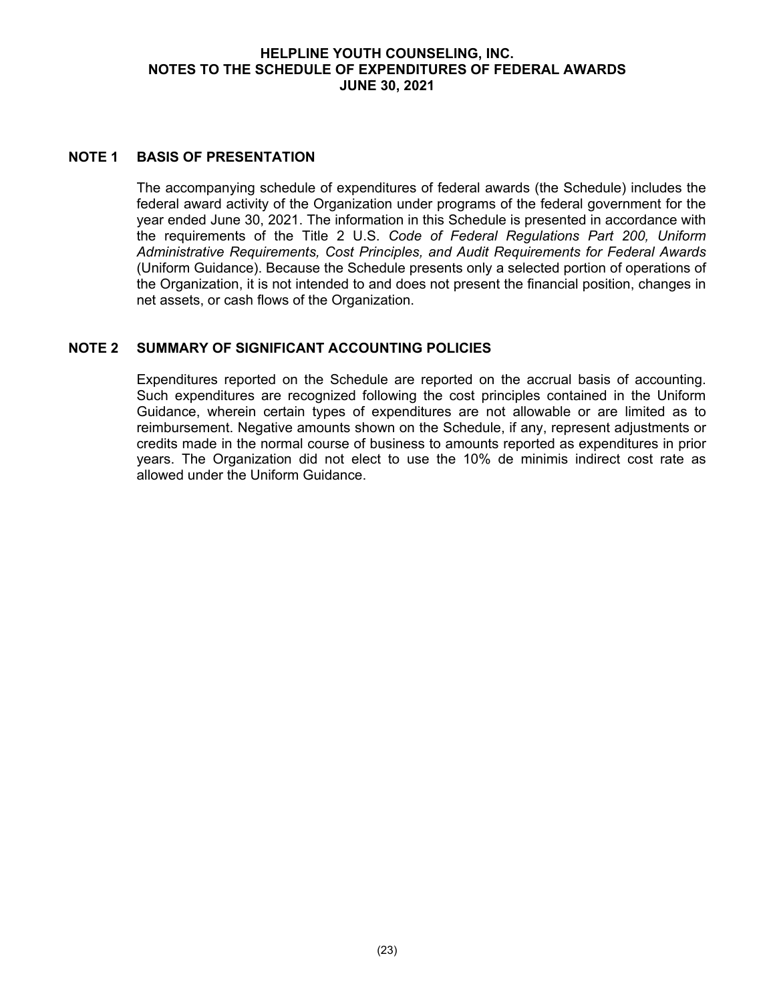### **HELPLINE YOUTH COUNSELING, INC. NOTES TO THE SCHEDULE OF EXPENDITURES OF FEDERAL AWARDS JUNE 30, 2021**

## **NOTE 1 BASIS OF PRESENTATION**

The accompanying schedule of expenditures of federal awards (the Schedule) includes the federal award activity of the Organization under programs of the federal government for the year ended June 30, 2021. The information in this Schedule is presented in accordance with the requirements of the Title 2 U.S. *Code of Federal Regulations Part 200, Uniform Administrative Requirements, Cost Principles, and Audit Requirements for Federal Awards* (Uniform Guidance). Because the Schedule presents only a selected portion of operations of the Organization, it is not intended to and does not present the financial position, changes in net assets, or cash flows of the Organization.

## **NOTE 2 SUMMARY OF SIGNIFICANT ACCOUNTING POLICIES**

Expenditures reported on the Schedule are reported on the accrual basis of accounting. Such expenditures are recognized following the cost principles contained in the Uniform Guidance, wherein certain types of expenditures are not allowable or are limited as to reimbursement. Negative amounts shown on the Schedule, if any, represent adjustments or credits made in the normal course of business to amounts reported as expenditures in prior years. The Organization did not elect to use the 10% de minimis indirect cost rate as allowed under the Uniform Guidance.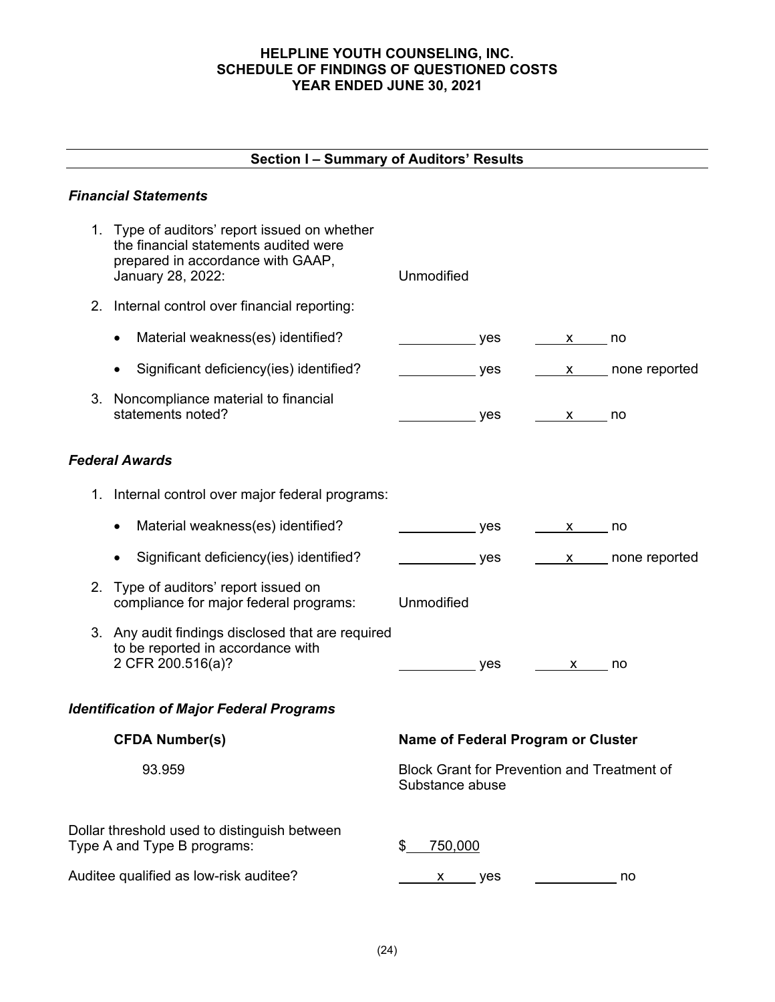## **HELPLINE YOUTH COUNSELING, INC. SCHEDULE OF FINDINGS OF QUESTIONED COSTS YEAR ENDED JUNE 30, 2021**

# **Section I – Summary of Auditors' Results**

# *Financial Statements*

|    | 1. Type of auditors' report issued on whether<br>the financial statements audited were<br>prepared in accordance with GAAP,<br>January 28, 2022: | Unmodified                                                                                                                                                                                                                                                                                                                                                                                                           |     |                                                                                                                                                                                                                                                                                                  |                             |  |
|----|--------------------------------------------------------------------------------------------------------------------------------------------------|----------------------------------------------------------------------------------------------------------------------------------------------------------------------------------------------------------------------------------------------------------------------------------------------------------------------------------------------------------------------------------------------------------------------|-----|--------------------------------------------------------------------------------------------------------------------------------------------------------------------------------------------------------------------------------------------------------------------------------------------------|-----------------------------|--|
|    | 2. Internal control over financial reporting:                                                                                                    |                                                                                                                                                                                                                                                                                                                                                                                                                      |     |                                                                                                                                                                                                                                                                                                  |                             |  |
|    | Material weakness(es) identified?<br>$\bullet$                                                                                                   |                                                                                                                                                                                                                                                                                                                                                                                                                      |     | <u>x</u> no                                                                                                                                                                                                                                                                                      |                             |  |
|    | Significant deficiency(ies) identified?<br>$\bullet$                                                                                             | $\frac{1}{\sqrt{1-\frac{1}{2}}\sqrt{1-\frac{1}{2}}\sqrt{1-\frac{1}{2}}\sqrt{1-\frac{1}{2}}\sqrt{1-\frac{1}{2}}\sqrt{1-\frac{1}{2}}\sqrt{1-\frac{1}{2}}\sqrt{1-\frac{1}{2}}\sqrt{1-\frac{1}{2}}\sqrt{1-\frac{1}{2}}\sqrt{1-\frac{1}{2}}\sqrt{1-\frac{1}{2}}\sqrt{1-\frac{1}{2}}\sqrt{1-\frac{1}{2}}\sqrt{1-\frac{1}{2}}\sqrt{1-\frac{1}{2}}\sqrt{1-\frac{1}{2}}\sqrt{1-\frac{1}{2}}\sqrt{1-\frac{1}{2}}\sqrt{1-\frac$ |     |                                                                                                                                                                                                                                                                                                  | $\frac{x}{1}$ none reported |  |
|    | 3. Noncompliance material to financial<br>statements noted?                                                                                      | ________________ yes                                                                                                                                                                                                                                                                                                                                                                                                 |     | x no                                                                                                                                                                                                                                                                                             |                             |  |
|    | <b>Federal Awards</b>                                                                                                                            |                                                                                                                                                                                                                                                                                                                                                                                                                      |     |                                                                                                                                                                                                                                                                                                  |                             |  |
| 1. | Internal control over major federal programs:                                                                                                    |                                                                                                                                                                                                                                                                                                                                                                                                                      |     |                                                                                                                                                                                                                                                                                                  |                             |  |
|    | Material weakness(es) identified?<br>$\bullet$                                                                                                   | <u>vesta</u>                                                                                                                                                                                                                                                                                                                                                                                                         |     | x no                                                                                                                                                                                                                                                                                             |                             |  |
|    | Significant deficiency(ies) identified?<br>$\bullet$                                                                                             |                                                                                                                                                                                                                                                                                                                                                                                                                      | yes |                                                                                                                                                                                                                                                                                                  | x none reported             |  |
|    | 2. Type of auditors' report issued on<br>compliance for major federal programs:                                                                  | Unmodified                                                                                                                                                                                                                                                                                                                                                                                                           |     |                                                                                                                                                                                                                                                                                                  |                             |  |
|    | 3. Any audit findings disclosed that are required<br>to be reported in accordance with<br>2 CFR 200.516(a)?                                      |                                                                                                                                                                                                                                                                                                                                                                                                                      | yes | $\mathsf{X}$ and $\mathsf{X}$ and $\mathsf{X}$ are $\mathsf{X}$ and $\mathsf{X}$ are $\mathsf{X}$ and $\mathsf{X}$ are $\mathsf{X}$ and $\mathsf{X}$ are $\mathsf{X}$ and $\mathsf{X}$ are $\mathsf{X}$ and $\mathsf{X}$ are $\mathsf{X}$ and $\mathsf{X}$ are $\mathsf{X}$ and $\mathsf{X}$ are | no                          |  |
|    | <b>Identification of Major Federal Programs</b>                                                                                                  |                                                                                                                                                                                                                                                                                                                                                                                                                      |     |                                                                                                                                                                                                                                                                                                  |                             |  |
|    | <b>CFDA Number(s)</b>                                                                                                                            | Name of Federal Program or Cluster                                                                                                                                                                                                                                                                                                                                                                                   |     |                                                                                                                                                                                                                                                                                                  |                             |  |
|    | 93.959                                                                                                                                           | <b>Block Grant for Prevention and Treatment of</b><br>Substance abuse                                                                                                                                                                                                                                                                                                                                                |     |                                                                                                                                                                                                                                                                                                  |                             |  |
|    | Dollar threshold used to distinguish between<br>Type A and Type B programs:                                                                      | \$<br>750,000                                                                                                                                                                                                                                                                                                                                                                                                        |     |                                                                                                                                                                                                                                                                                                  |                             |  |
|    | Auditee qualified as low-risk auditee?                                                                                                           | X.                                                                                                                                                                                                                                                                                                                                                                                                                   | yes |                                                                                                                                                                                                                                                                                                  | no                          |  |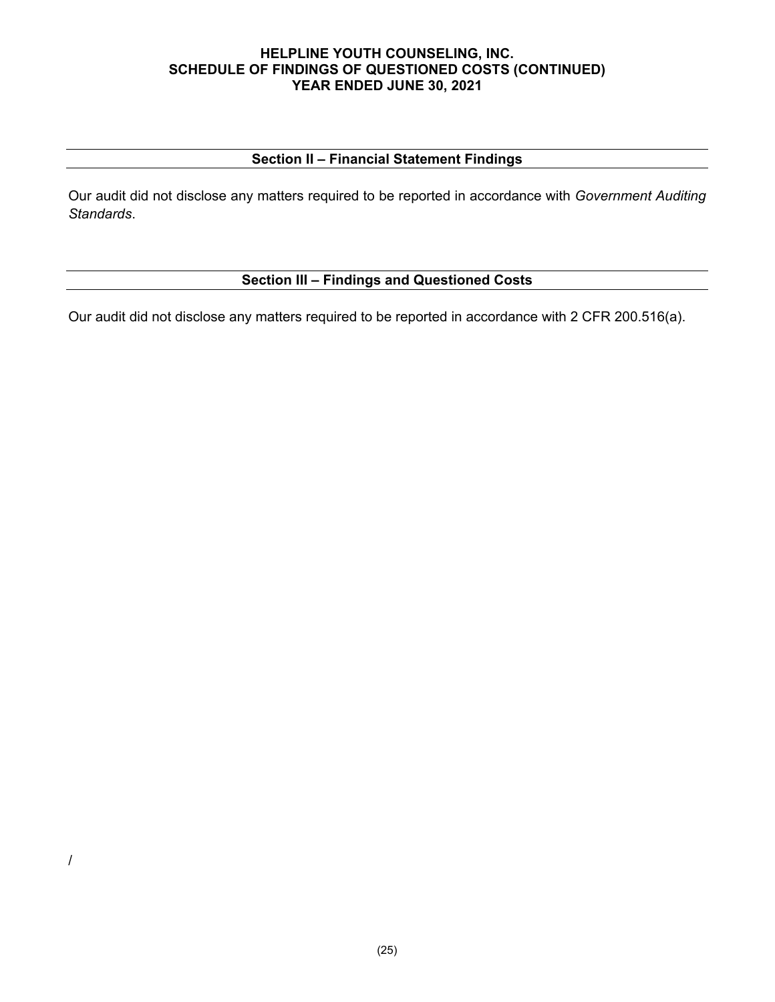### **HELPLINE YOUTH COUNSELING, INC. SCHEDULE OF FINDINGS OF QUESTIONED COSTS (CONTINUED) YEAR ENDED JUNE 30, 2021**

# **Section II – Financial Statement Findings**

Our audit did not disclose any matters required to be reported in accordance with *Government Auditing Standards*.

# **Section III – Findings and Questioned Costs**

Our audit did not disclose any matters required to be reported in accordance with 2 CFR 200.516(a).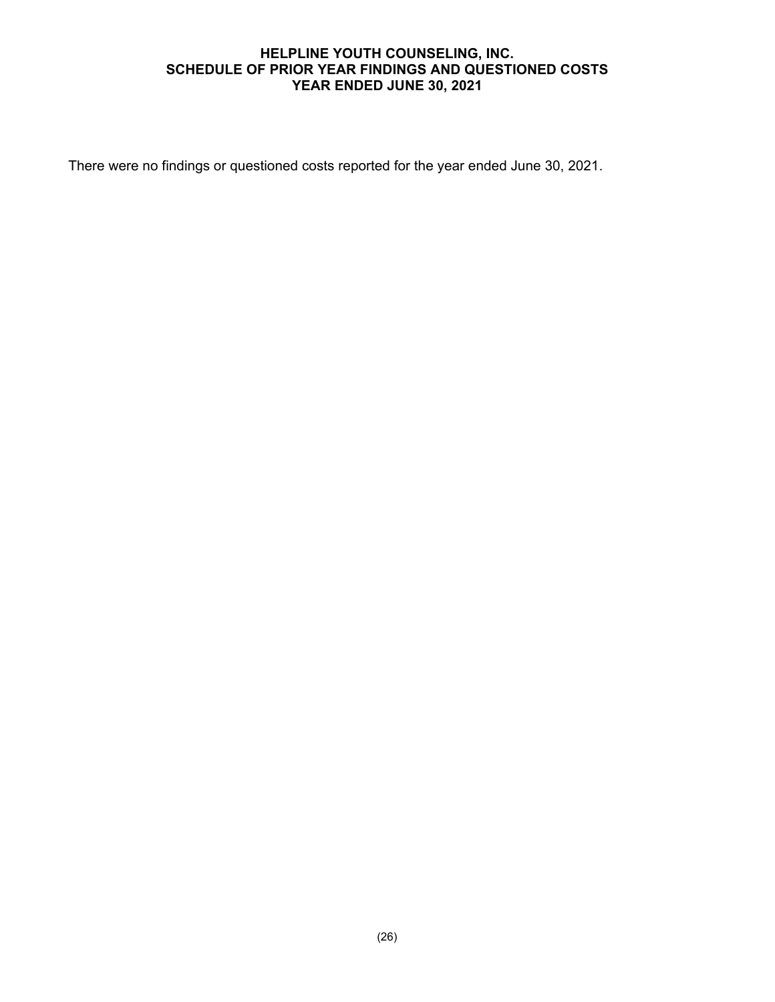## **HELPLINE YOUTH COUNSELING, INC. SCHEDULE OF PRIOR YEAR FINDINGS AND QUESTIONED COSTS YEAR ENDED JUNE 30, 2021**

There were no findings or questioned costs reported for the year ended June 30, 2021.